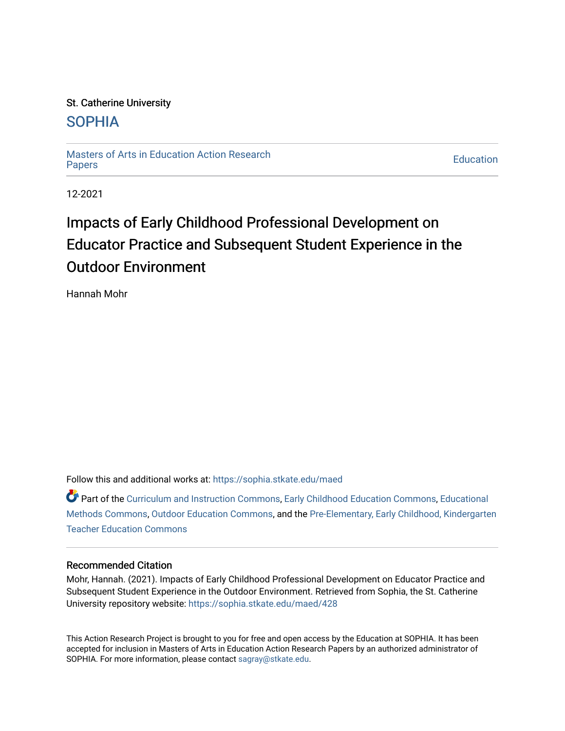## St. Catherine University [SOPHIA](https://sophia.stkate.edu/)

[Masters of Arts in Education Action Research](https://sophia.stkate.edu/maed) [Papers](https://sophia.stkate.edu/maed) [Education](https://sophia.stkate.edu/ed) 

12-2021

# Impacts of Early Childhood Professional Development on Educator Practice and Subsequent Student Experience in the Outdoor Environment

Hannah Mohr

Follow this and additional works at: [https://sophia.stkate.edu/maed](https://sophia.stkate.edu/maed?utm_source=sophia.stkate.edu%2Fmaed%2F428&utm_medium=PDF&utm_campaign=PDFCoverPages) 

Part of the [Curriculum and Instruction Commons,](http://network.bepress.com/hgg/discipline/786?utm_source=sophia.stkate.edu%2Fmaed%2F428&utm_medium=PDF&utm_campaign=PDFCoverPages) [Early Childhood Education Commons,](http://network.bepress.com/hgg/discipline/1377?utm_source=sophia.stkate.edu%2Fmaed%2F428&utm_medium=PDF&utm_campaign=PDFCoverPages) [Educational](http://network.bepress.com/hgg/discipline/1227?utm_source=sophia.stkate.edu%2Fmaed%2F428&utm_medium=PDF&utm_campaign=PDFCoverPages) [Methods Commons,](http://network.bepress.com/hgg/discipline/1227?utm_source=sophia.stkate.edu%2Fmaed%2F428&utm_medium=PDF&utm_campaign=PDFCoverPages) [Outdoor Education Commons,](http://network.bepress.com/hgg/discipline/1381?utm_source=sophia.stkate.edu%2Fmaed%2F428&utm_medium=PDF&utm_campaign=PDFCoverPages) and the [Pre-Elementary, Early Childhood, Kindergarten](http://network.bepress.com/hgg/discipline/808?utm_source=sophia.stkate.edu%2Fmaed%2F428&utm_medium=PDF&utm_campaign=PDFCoverPages) [Teacher Education Commons](http://network.bepress.com/hgg/discipline/808?utm_source=sophia.stkate.edu%2Fmaed%2F428&utm_medium=PDF&utm_campaign=PDFCoverPages) 

## Recommended Citation

Mohr, Hannah. (2021). Impacts of Early Childhood Professional Development on Educator Practice and Subsequent Student Experience in the Outdoor Environment. Retrieved from Sophia, the St. Catherine University repository website: [https://sophia.stkate.edu/maed/428](https://sophia.stkate.edu/maed/428?utm_source=sophia.stkate.edu%2Fmaed%2F428&utm_medium=PDF&utm_campaign=PDFCoverPages) 

This Action Research Project is brought to you for free and open access by the Education at SOPHIA. It has been accepted for inclusion in Masters of Arts in Education Action Research Papers by an authorized administrator of SOPHIA. For more information, please contact [sagray@stkate.edu.](mailto:sagray@stkate.edu)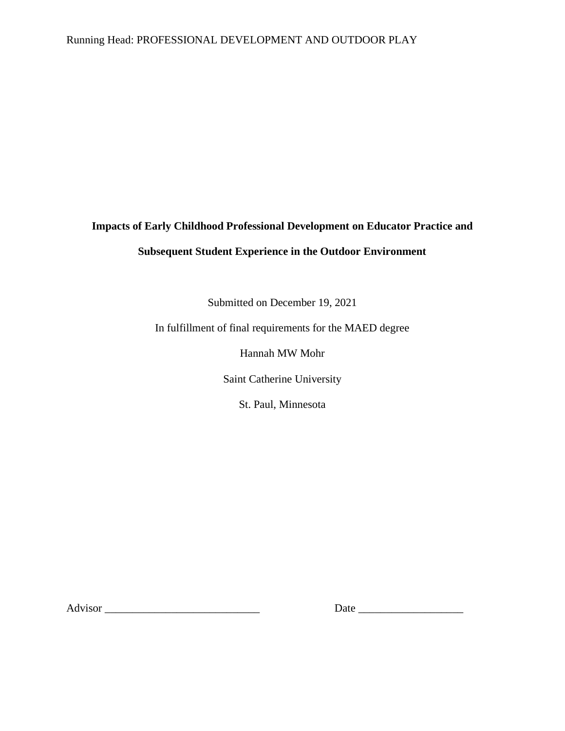## Running Head: PROFESSIONAL DEVELOPMENT AND OUTDOOR PLAY

# **Impacts of Early Childhood Professional Development on Educator Practice and Subsequent Student Experience in the Outdoor Environment**

Submitted on December 19, 2021

In fulfillment of final requirements for the MAED degree

Hannah MW Mohr

Saint Catherine University

St. Paul, Minnesota

Advisor \_\_\_\_\_\_\_\_\_\_\_\_\_\_\_\_\_\_\_\_\_\_\_\_\_\_\_\_ Date \_\_\_\_\_\_\_\_\_\_\_\_\_\_\_\_\_\_\_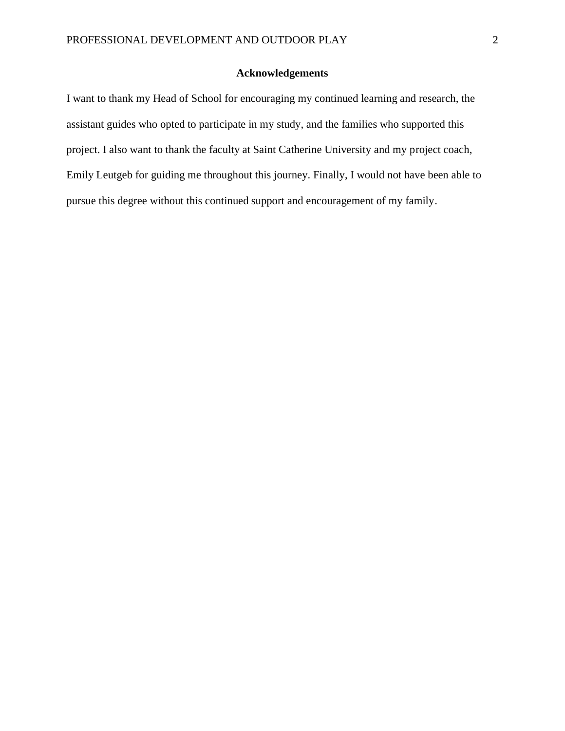## **Acknowledgements**

I want to thank my Head of School for encouraging my continued learning and research, the assistant guides who opted to participate in my study, and the families who supported this project. I also want to thank the faculty at Saint Catherine University and my project coach, Emily Leutgeb for guiding me throughout this journey. Finally, I would not have been able to pursue this degree without this continued support and encouragement of my family.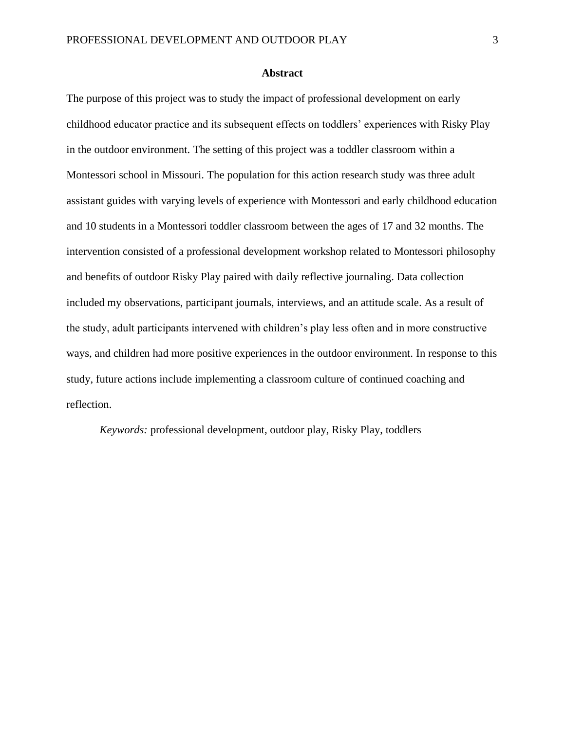### **Abstract**

The purpose of this project was to study the impact of professional development on early childhood educator practice and its subsequent effects on toddlers' experiences with Risky Play in the outdoor environment. The setting of this project was a toddler classroom within a Montessori school in Missouri. The population for this action research study was three adult assistant guides with varying levels of experience with Montessori and early childhood education and 10 students in a Montessori toddler classroom between the ages of 17 and 32 months. The intervention consisted of a professional development workshop related to Montessori philosophy and benefits of outdoor Risky Play paired with daily reflective journaling. Data collection included my observations, participant journals, interviews, and an attitude scale. As a result of the study, adult participants intervened with children's play less often and in more constructive ways, and children had more positive experiences in the outdoor environment. In response to this study, future actions include implementing a classroom culture of continued coaching and reflection.

*Keywords:* professional development, outdoor play, Risky Play, toddlers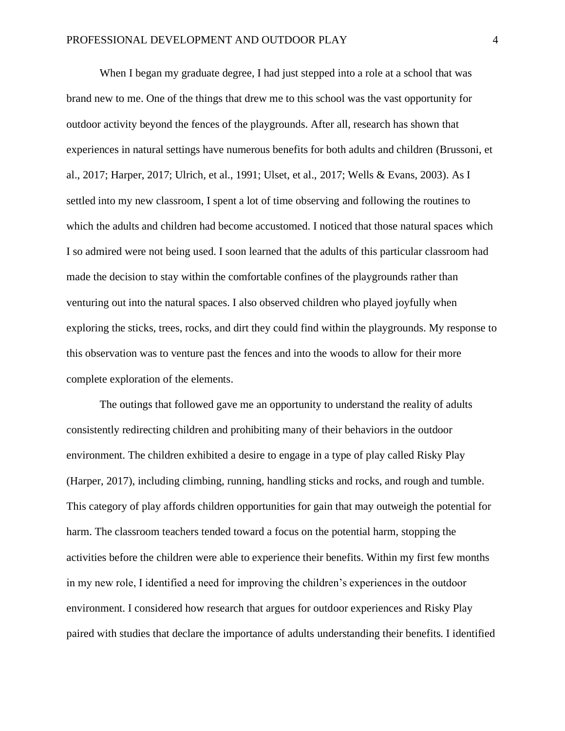When I began my graduate degree, I had just stepped into a role at a school that was brand new to me. One of the things that drew me to this school was the vast opportunity for outdoor activity beyond the fences of the playgrounds. After all, research has shown that experiences in natural settings have numerous benefits for both adults and children (Brussoni, et al., 2017; Harper, 2017; Ulrich, et al., 1991; Ulset, et al., 2017; Wells & Evans, 2003). As I settled into my new classroom, I spent a lot of time observing and following the routines to which the adults and children had become accustomed. I noticed that those natural spaces which I so admired were not being used. I soon learned that the adults of this particular classroom had made the decision to stay within the comfortable confines of the playgrounds rather than venturing out into the natural spaces. I also observed children who played joyfully when exploring the sticks, trees, rocks, and dirt they could find within the playgrounds. My response to this observation was to venture past the fences and into the woods to allow for their more complete exploration of the elements.

The outings that followed gave me an opportunity to understand the reality of adults consistently redirecting children and prohibiting many of their behaviors in the outdoor environment. The children exhibited a desire to engage in a type of play called Risky Play (Harper, 2017), including climbing, running, handling sticks and rocks, and rough and tumble. This category of play affords children opportunities for gain that may outweigh the potential for harm. The classroom teachers tended toward a focus on the potential harm, stopping the activities before the children were able to experience their benefits. Within my first few months in my new role, I identified a need for improving the children's experiences in the outdoor environment. I considered how research that argues for outdoor experiences and Risky Play paired with studies that declare the importance of adults understanding their benefits. I identified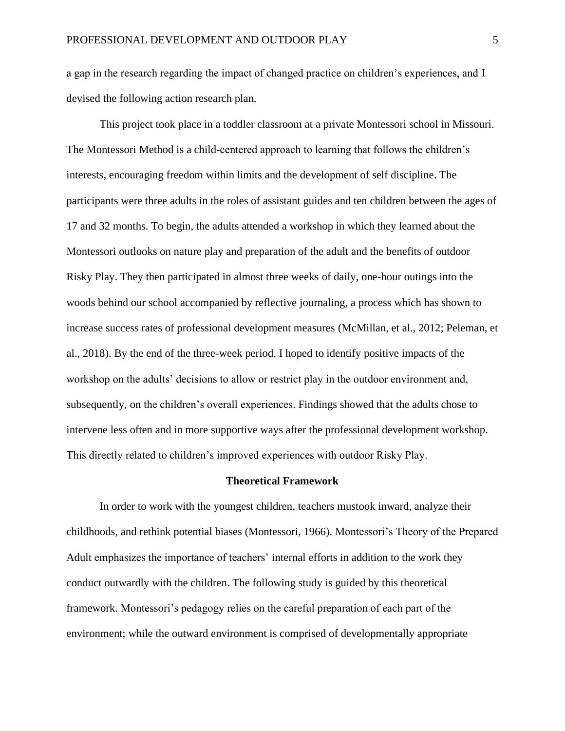a gap in the research regarding the impact of changed practice on children's experiences, and I devised the following action research plan.

This project took place in a toddler classroom at a private Montessori school in Missouri. The Montessori Method is a child-centered approach to learning that follows the children's interests, encouraging freedom within limits and the development of self discipline. The participants were three adults in the roles of assistant guides and ten children between the ages of 17 and 32 months. To begin, the adults attended a workshop in which they learned about the Montessori outlooks on nature play and preparation of the adult and the benefits of outdoor Risky Play. They then participated in almost three weeks of daily, one-hour outings into the woods behind our school accompanied by reflective journaling, a process which has shown to increase success rates of professional development measures (McMillan, et al., 2012; Peleman, et al., 2018). By the end of the three-week period, I hoped to identify positive impacts of the workshop on the adults' decisions to allow or restrict play in the outdoor environment and, subsequently, on the children's overall experiences. Findings showed that the adults chose to intervene less often and in more supportive ways after the professional development workshop. This directly related to children's improved experiences with outdoor Risky Play.

#### **Theoretical Framework**

In order to work with the youngest children, teachers mustook inward, analyze their childhoods, and rethink potential biases (Montessori, 1966). Montessori's Theory of the Prepared Adult emphasizes the importance of teachers' internal efforts in addition to the work they conduct outwardly with the children. The following study is guided by this theoretical framework. Montessori's pedagogy relies on the careful preparation of each part of the environment; while the outward environment is comprised of developmentally appropriate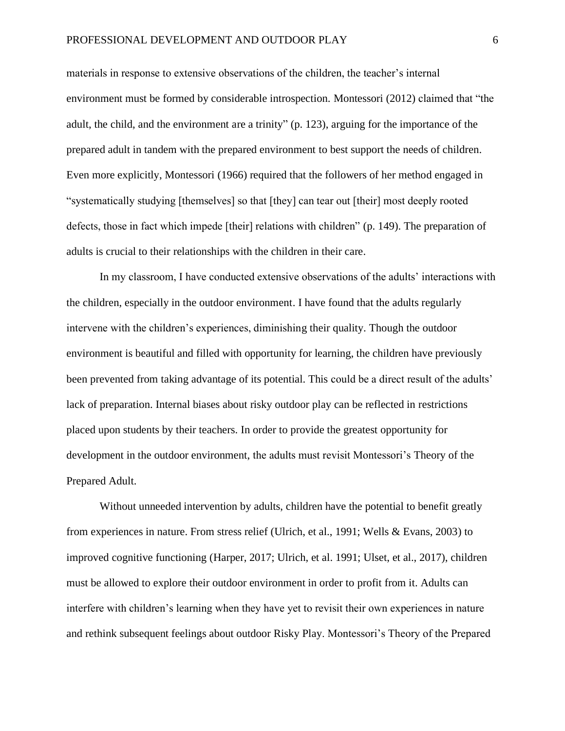materials in response to extensive observations of the children, the teacher's internal environment must be formed by considerable introspection. Montessori (2012) claimed that "the adult, the child, and the environment are a trinity" (p. 123), arguing for the importance of the prepared adult in tandem with the prepared environment to best support the needs of children. Even more explicitly, Montessori (1966) required that the followers of her method engaged in "systematically studying [themselves] so that [they] can tear out [their] most deeply rooted defects, those in fact which impede [their] relations with children" (p. 149). The preparation of adults is crucial to their relationships with the children in their care.

In my classroom, I have conducted extensive observations of the adults' interactions with the children, especially in the outdoor environment. I have found that the adults regularly intervene with the children's experiences, diminishing their quality. Though the outdoor environment is beautiful and filled with opportunity for learning, the children have previously been prevented from taking advantage of its potential. This could be a direct result of the adults' lack of preparation. Internal biases about risky outdoor play can be reflected in restrictions placed upon students by their teachers. In order to provide the greatest opportunity for development in the outdoor environment, the adults must revisit Montessori's Theory of the Prepared Adult.

Without unneeded intervention by adults, children have the potential to benefit greatly from experiences in nature. From stress relief (Ulrich, et al., 1991; Wells & Evans, 2003) to improved cognitive functioning (Harper, 2017; Ulrich, et al. 1991; Ulset, et al., 2017), children must be allowed to explore their outdoor environment in order to profit from it. Adults can interfere with children's learning when they have yet to revisit their own experiences in nature and rethink subsequent feelings about outdoor Risky Play. Montessori's Theory of the Prepared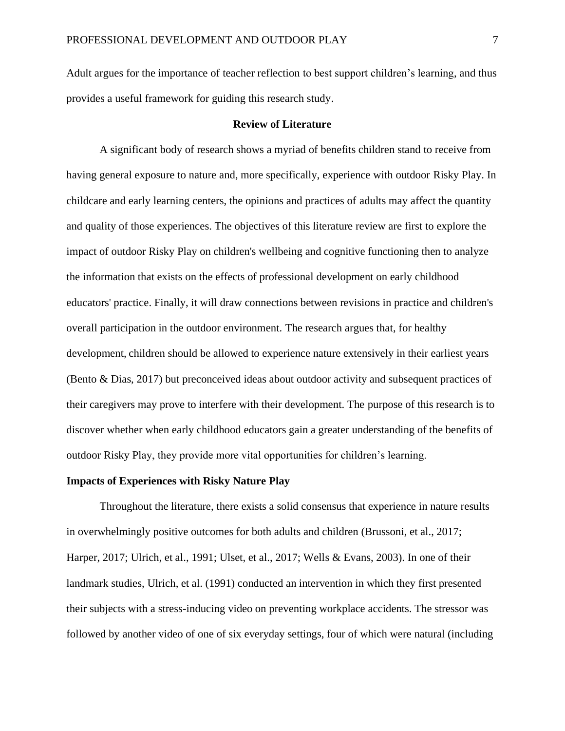Adult argues for the importance of teacher reflection to best support children's learning, and thus provides a useful framework for guiding this research study.

### **Review of Literature**

A significant body of research shows a myriad of benefits children stand to receive from having general exposure to nature and, more specifically, experience with outdoor Risky Play. In childcare and early learning centers, the opinions and practices of adults may affect the quantity and quality of those experiences. The objectives of this literature review are first to explore the impact of outdoor Risky Play on children's wellbeing and cognitive functioning then to analyze the information that exists on the effects of professional development on early childhood educators' practice. Finally, it will draw connections between revisions in practice and children's overall participation in the outdoor environment. The research argues that, for healthy development, children should be allowed to experience nature extensively in their earliest years (Bento & Dias, 2017) but preconceived ideas about outdoor activity and subsequent practices of their caregivers may prove to interfere with their development. The purpose of this research is to discover whether when early childhood educators gain a greater understanding of the benefits of outdoor Risky Play, they provide more vital opportunities for children's learning.

### **Impacts of Experiences with Risky Nature Play**

Throughout the literature, there exists a solid consensus that experience in nature results in overwhelmingly positive outcomes for both adults and children (Brussoni, et al., 2017; Harper, 2017; Ulrich, et al., 1991; Ulset, et al., 2017; Wells & Evans, 2003). In one of their landmark studies, Ulrich, et al. (1991) conducted an intervention in which they first presented their subjects with a stress-inducing video on preventing workplace accidents. The stressor was followed by another video of one of six everyday settings, four of which were natural (including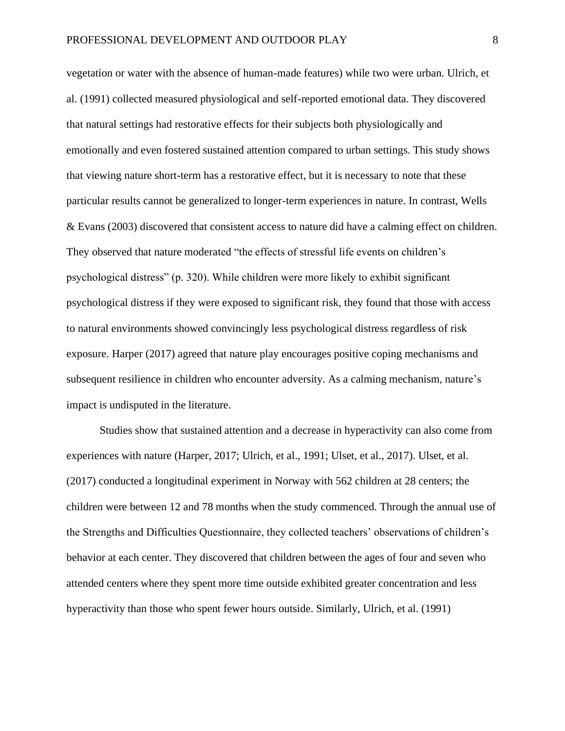vegetation or water with the absence of human-made features) while two were urban. Ulrich, et al. (1991) collected measured physiological and self-reported emotional data. They discovered that natural settings had restorative effects for their subjects both physiologically and emotionally and even fostered sustained attention compared to urban settings. This study shows that viewing nature short-term has a restorative effect, but it is necessary to note that these particular results cannot be generalized to longer-term experiences in nature. In contrast, Wells & Evans (2003) discovered that consistent access to nature did have a calming effect on children. They observed that nature moderated "the effects of stressful life events on children's psychological distress" (p. 320). While children were more likely to exhibit significant psychological distress if they were exposed to significant risk, they found that those with access to natural environments showed convincingly less psychological distress regardless of risk exposure. Harper (2017) agreed that nature play encourages positive coping mechanisms and subsequent resilience in children who encounter adversity. As a calming mechanism, nature's impact is undisputed in the literature.

Studies show that sustained attention and a decrease in hyperactivity can also come from experiences with nature (Harper, 2017; Ulrich, et al., 1991; Ulset, et al., 2017). Ulset, et al. (2017) conducted a longitudinal experiment in Norway with 562 children at 28 centers; the children were between 12 and 78 months when the study commenced. Through the annual use of the Strengths and Difficulties Questionnaire, they collected teachers' observations of children's behavior at each center. They discovered that children between the ages of four and seven who attended centers where they spent more time outside exhibited greater concentration and less hyperactivity than those who spent fewer hours outside. Similarly, Ulrich, et al. (1991)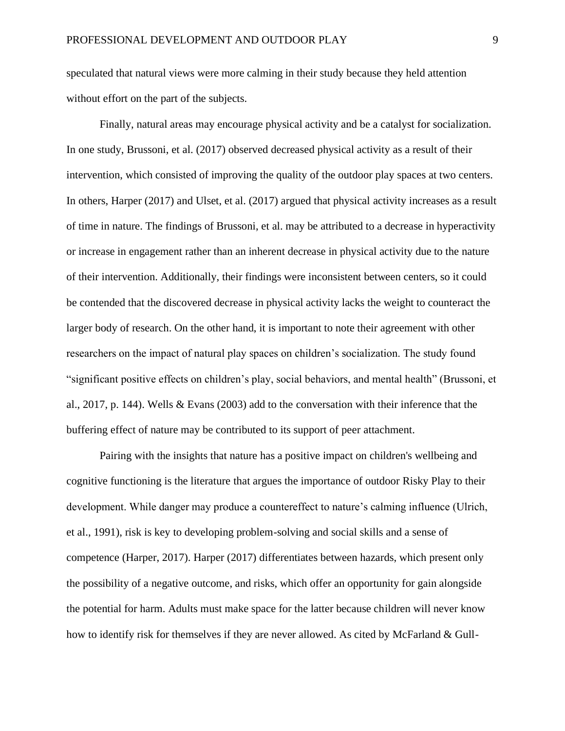speculated that natural views were more calming in their study because they held attention without effort on the part of the subjects.

Finally, natural areas may encourage physical activity and be a catalyst for socialization. In one study, Brussoni, et al. (2017) observed decreased physical activity as a result of their intervention, which consisted of improving the quality of the outdoor play spaces at two centers. In others, Harper (2017) and Ulset, et al. (2017) argued that physical activity increases as a result of time in nature. The findings of Brussoni, et al. may be attributed to a decrease in hyperactivity or increase in engagement rather than an inherent decrease in physical activity due to the nature of their intervention. Additionally, their findings were inconsistent between centers, so it could be contended that the discovered decrease in physical activity lacks the weight to counteract the larger body of research. On the other hand, it is important to note their agreement with other researchers on the impact of natural play spaces on children's socialization. The study found "significant positive effects on children's play, social behaviors, and mental health" (Brussoni, et al., 2017, p. 144). Wells & Evans (2003) add to the conversation with their inference that the buffering effect of nature may be contributed to its support of peer attachment.

Pairing with the insights that nature has a positive impact on children's wellbeing and cognitive functioning is the literature that argues the importance of outdoor Risky Play to their development. While danger may produce a countereffect to nature's calming influence (Ulrich, et al., 1991), risk is key to developing problem-solving and social skills and a sense of competence (Harper, 2017). Harper (2017) differentiates between hazards, which present only the possibility of a negative outcome, and risks, which offer an opportunity for gain alongside the potential for harm. Adults must make space for the latter because children will never know how to identify risk for themselves if they are never allowed. As cited by McFarland & Gull-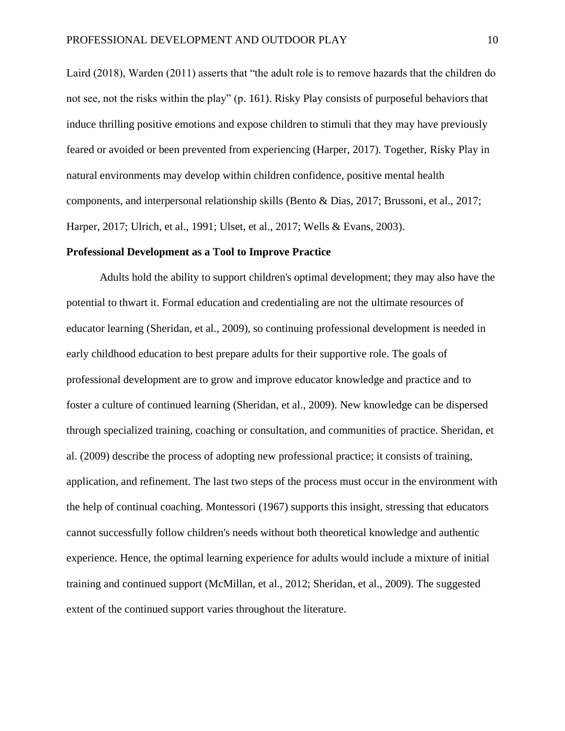Laird (2018), Warden (2011) asserts that "the adult role is to remove hazards that the children do not see, not the risks within the play" (p. 161). Risky Play consists of purposeful behaviors that induce thrilling positive emotions and expose children to stimuli that they may have previously feared or avoided or been prevented from experiencing (Harper, 2017). Together, Risky Play in natural environments may develop within children confidence, positive mental health components, and interpersonal relationship skills (Bento & Dias, 2017; Brussoni, et al., 2017; Harper, 2017; Ulrich, et al., 1991; Ulset, et al., 2017; Wells & Evans, 2003).

#### **Professional Development as a Tool to Improve Practice**

Adults hold the ability to support children's optimal development; they may also have the potential to thwart it. Formal education and credentialing are not the ultimate resources of educator learning (Sheridan, et al., 2009), so continuing professional development is needed in early childhood education to best prepare adults for their supportive role. The goals of professional development are to grow and improve educator knowledge and practice and to foster a culture of continued learning (Sheridan, et al., 2009). New knowledge can be dispersed through specialized training, coaching or consultation, and communities of practice. Sheridan, et al. (2009) describe the process of adopting new professional practice; it consists of training, application, and refinement. The last two steps of the process must occur in the environment with the help of continual coaching. Montessori (1967) supports this insight, stressing that educators cannot successfully follow children's needs without both theoretical knowledge and authentic experience. Hence, the optimal learning experience for adults would include a mixture of initial training and continued support (McMillan, et al., 2012; Sheridan, et al., 2009). The suggested extent of the continued support varies throughout the literature.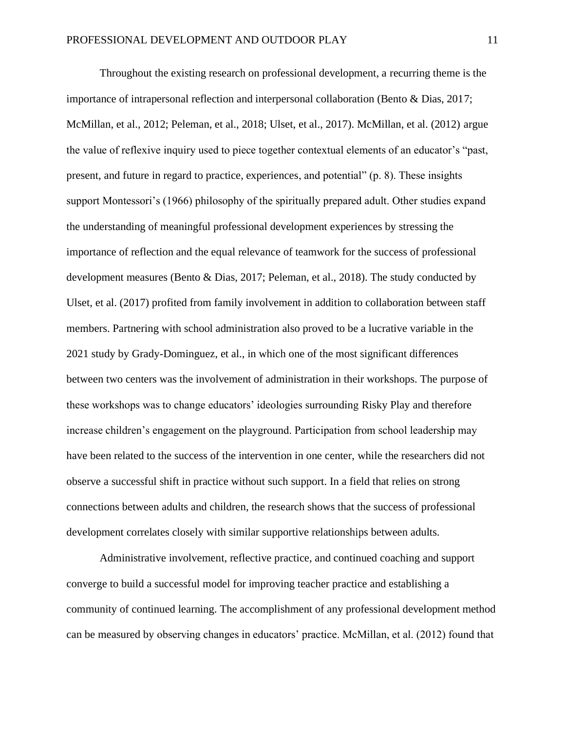Throughout the existing research on professional development, a recurring theme is the importance of intrapersonal reflection and interpersonal collaboration (Bento & Dias, 2017; McMillan, et al., 2012; Peleman, et al., 2018; Ulset, et al., 2017). McMillan, et al. (2012) argue the value of reflexive inquiry used to piece together contextual elements of an educator's "past, present, and future in regard to practice, experiences, and potential" (p. 8). These insights support Montessori's (1966) philosophy of the spiritually prepared adult. Other studies expand the understanding of meaningful professional development experiences by stressing the importance of reflection and the equal relevance of teamwork for the success of professional development measures (Bento & Dias, 2017; Peleman, et al., 2018). The study conducted by Ulset, et al. (2017) profited from family involvement in addition to collaboration between staff members. Partnering with school administration also proved to be a lucrative variable in the 2021 study by Grady-Dominguez, et al., in which one of the most significant differences between two centers was the involvement of administration in their workshops. The purpose of these workshops was to change educators' ideologies surrounding Risky Play and therefore increase children's engagement on the playground. Participation from school leadership may have been related to the success of the intervention in one center, while the researchers did not observe a successful shift in practice without such support. In a field that relies on strong connections between adults and children, the research shows that the success of professional development correlates closely with similar supportive relationships between adults.

Administrative involvement, reflective practice, and continued coaching and support converge to build a successful model for improving teacher practice and establishing a community of continued learning. The accomplishment of any professional development method can be measured by observing changes in educators' practice. McMillan, et al. (2012) found that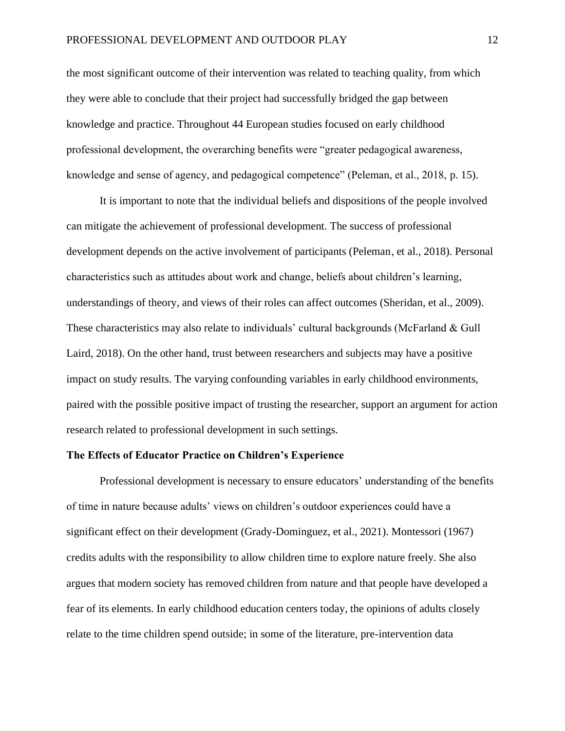the most significant outcome of their intervention was related to teaching quality, from which they were able to conclude that their project had successfully bridged the gap between knowledge and practice. Throughout 44 European studies focused on early childhood professional development, the overarching benefits were "greater pedagogical awareness, knowledge and sense of agency, and pedagogical competence" (Peleman, et al., 2018, p. 15).

It is important to note that the individual beliefs and dispositions of the people involved can mitigate the achievement of professional development. The success of professional development depends on the active involvement of participants (Peleman, et al., 2018). Personal characteristics such as attitudes about work and change, beliefs about children's learning, understandings of theory, and views of their roles can affect outcomes (Sheridan, et al., 2009). These characteristics may also relate to individuals' cultural backgrounds (McFarland & Gull Laird, 2018). On the other hand, trust between researchers and subjects may have a positive impact on study results. The varying confounding variables in early childhood environments, paired with the possible positive impact of trusting the researcher, support an argument for action research related to professional development in such settings.

### **The Effects of Educator Practice on Children's Experience**

Professional development is necessary to ensure educators' understanding of the benefits of time in nature because adults' views on children's outdoor experiences could have a significant effect on their development (Grady-Dominguez, et al., 2021). Montessori (1967) credits adults with the responsibility to allow children time to explore nature freely. She also argues that modern society has removed children from nature and that people have developed a fear of its elements. In early childhood education centers today, the opinions of adults closely relate to the time children spend outside; in some of the literature, pre-intervention data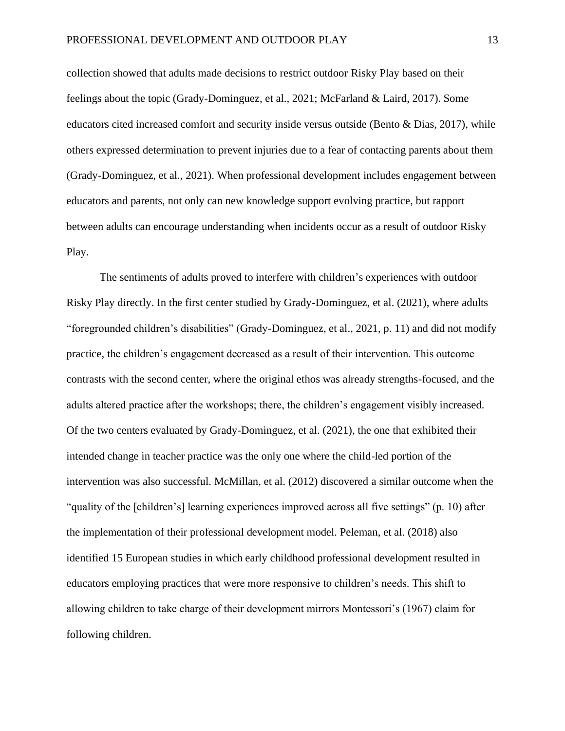collection showed that adults made decisions to restrict outdoor Risky Play based on their feelings about the topic (Grady-Dominguez, et al., 2021; McFarland & Laird, 2017). Some educators cited increased comfort and security inside versus outside (Bento & Dias, 2017), while others expressed determination to prevent injuries due to a fear of contacting parents about them (Grady-Dominguez, et al., 2021). When professional development includes engagement between educators and parents, not only can new knowledge support evolving practice, but rapport between adults can encourage understanding when incidents occur as a result of outdoor Risky Play.

The sentiments of adults proved to interfere with children's experiences with outdoor Risky Play directly. In the first center studied by Grady-Dominguez, et al. (2021), where adults "foregrounded children's disabilities" (Grady-Dominguez, et al., 2021, p. 11) and did not modify practice, the children's engagement decreased as a result of their intervention. This outcome contrasts with the second center, where the original ethos was already strengths-focused, and the adults altered practice after the workshops; there, the children's engagement visibly increased. Of the two centers evaluated by Grady-Dominguez, et al. (2021), the one that exhibited their intended change in teacher practice was the only one where the child-led portion of the intervention was also successful. McMillan, et al. (2012) discovered a similar outcome when the "quality of the [children's] learning experiences improved across all five settings" (p. 10) after the implementation of their professional development model. Peleman, et al. (2018) also identified 15 European studies in which early childhood professional development resulted in educators employing practices that were more responsive to children's needs. This shift to allowing children to take charge of their development mirrors Montessori's (1967) claim for following children.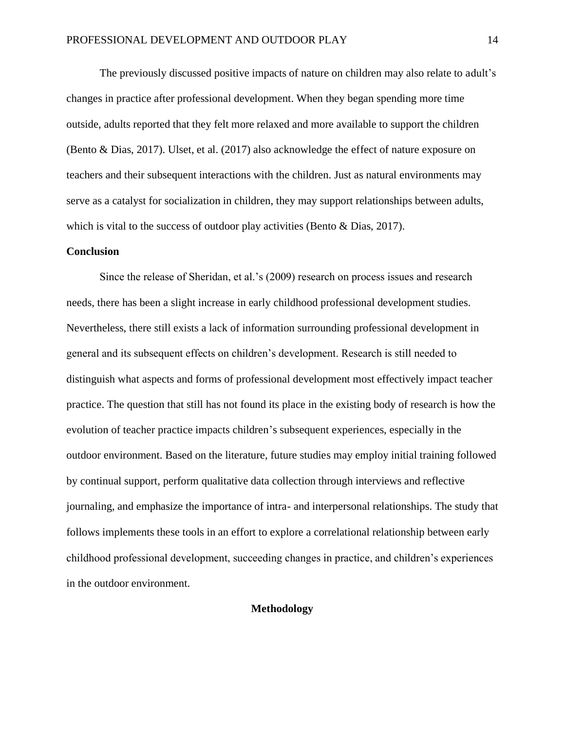The previously discussed positive impacts of nature on children may also relate to adult's changes in practice after professional development. When they began spending more time outside, adults reported that they felt more relaxed and more available to support the children (Bento & Dias, 2017). Ulset, et al. (2017) also acknowledge the effect of nature exposure on teachers and their subsequent interactions with the children. Just as natural environments may serve as a catalyst for socialization in children, they may support relationships between adults, which is vital to the success of outdoor play activities (Bento & Dias, 2017).

### **Conclusion**

Since the release of Sheridan, et al.'s (2009) research on process issues and research needs, there has been a slight increase in early childhood professional development studies. Nevertheless, there still exists a lack of information surrounding professional development in general and its subsequent effects on children's development. Research is still needed to distinguish what aspects and forms of professional development most effectively impact teacher practice. The question that still has not found its place in the existing body of research is how the evolution of teacher practice impacts children's subsequent experiences, especially in the outdoor environment. Based on the literature, future studies may employ initial training followed by continual support, perform qualitative data collection through interviews and reflective journaling, and emphasize the importance of intra- and interpersonal relationships. The study that follows implements these tools in an effort to explore a correlational relationship between early childhood professional development, succeeding changes in practice, and children's experiences in the outdoor environment.

## **Methodology**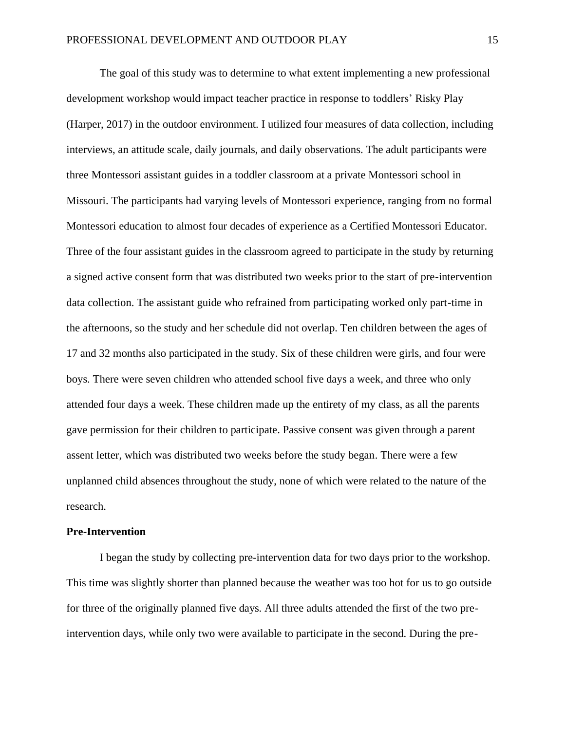The goal of this study was to determine to what extent implementing a new professional development workshop would impact teacher practice in response to toddlers' Risky Play (Harper, 2017) in the outdoor environment. I utilized four measures of data collection, including interviews, an attitude scale, daily journals, and daily observations. The adult participants were three Montessori assistant guides in a toddler classroom at a private Montessori school in Missouri. The participants had varying levels of Montessori experience, ranging from no formal Montessori education to almost four decades of experience as a Certified Montessori Educator. Three of the four assistant guides in the classroom agreed to participate in the study by returning a signed active consent form that was distributed two weeks prior to the start of pre-intervention data collection. The assistant guide who refrained from participating worked only part-time in the afternoons, so the study and her schedule did not overlap. Ten children between the ages of 17 and 32 months also participated in the study. Six of these children were girls, and four were boys. There were seven children who attended school five days a week, and three who only attended four days a week. These children made up the entirety of my class, as all the parents gave permission for their children to participate. Passive consent was given through a parent assent letter, which was distributed two weeks before the study began. There were a few unplanned child absences throughout the study, none of which were related to the nature of the research.

### **Pre-Intervention**

I began the study by collecting pre-intervention data for two days prior to the workshop. This time was slightly shorter than planned because the weather was too hot for us to go outside for three of the originally planned five days. All three adults attended the first of the two preintervention days, while only two were available to participate in the second. During the pre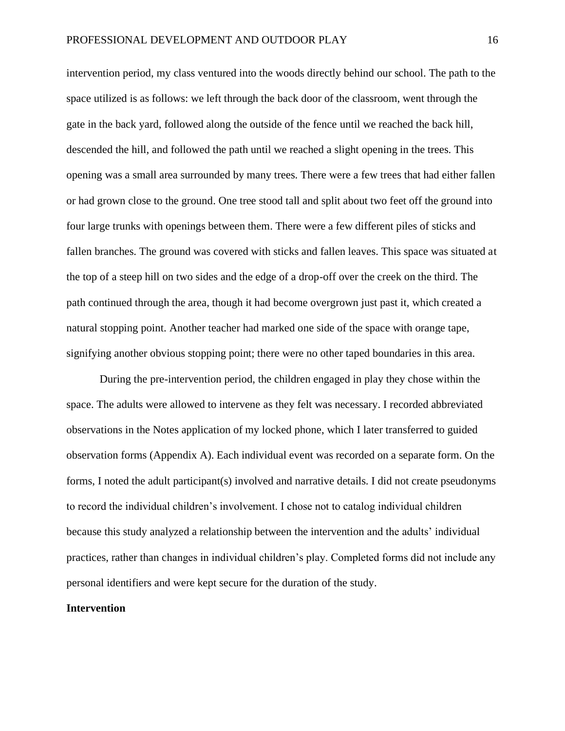intervention period, my class ventured into the woods directly behind our school. The path to the space utilized is as follows: we left through the back door of the classroom, went through the gate in the back yard, followed along the outside of the fence until we reached the back hill, descended the hill, and followed the path until we reached a slight opening in the trees. This opening was a small area surrounded by many trees. There were a few trees that had either fallen or had grown close to the ground. One tree stood tall and split about two feet off the ground into four large trunks with openings between them. There were a few different piles of sticks and fallen branches. The ground was covered with sticks and fallen leaves. This space was situated at the top of a steep hill on two sides and the edge of a drop-off over the creek on the third. The path continued through the area, though it had become overgrown just past it, which created a natural stopping point. Another teacher had marked one side of the space with orange tape, signifying another obvious stopping point; there were no other taped boundaries in this area.

During the pre-intervention period, the children engaged in play they chose within the space. The adults were allowed to intervene as they felt was necessary. I recorded abbreviated observations in the Notes application of my locked phone, which I later transferred to guided observation forms (Appendix A). Each individual event was recorded on a separate form. On the forms, I noted the adult participant(s) involved and narrative details. I did not create pseudonyms to record the individual children's involvement. I chose not to catalog individual children because this study analyzed a relationship between the intervention and the adults' individual practices, rather than changes in individual children's play. Completed forms did not include any personal identifiers and were kept secure for the duration of the study.

### **Intervention**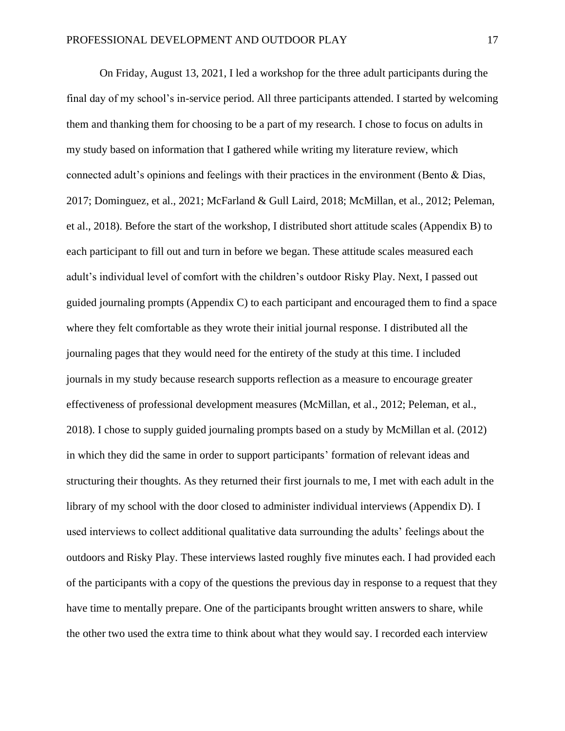On Friday, August 13, 2021, I led a workshop for the three adult participants during the final day of my school's in-service period. All three participants attended. I started by welcoming them and thanking them for choosing to be a part of my research. I chose to focus on adults in my study based on information that I gathered while writing my literature review, which connected adult's opinions and feelings with their practices in the environment (Bento & Dias, 2017; Dominguez, et al., 2021; McFarland & Gull Laird, 2018; McMillan, et al., 2012; Peleman, et al., 2018). Before the start of the workshop, I distributed short attitude scales (Appendix B) to each participant to fill out and turn in before we began. These attitude scales measured each adult's individual level of comfort with the children's outdoor Risky Play. Next, I passed out guided journaling prompts (Appendix C) to each participant and encouraged them to find a space where they felt comfortable as they wrote their initial journal response. I distributed all the journaling pages that they would need for the entirety of the study at this time. I included journals in my study because research supports reflection as a measure to encourage greater effectiveness of professional development measures (McMillan, et al., 2012; Peleman, et al., 2018). I chose to supply guided journaling prompts based on a study by McMillan et al. (2012) in which they did the same in order to support participants' formation of relevant ideas and structuring their thoughts. As they returned their first journals to me, I met with each adult in the library of my school with the door closed to administer individual interviews (Appendix D). I used interviews to collect additional qualitative data surrounding the adults' feelings about the outdoors and Risky Play. These interviews lasted roughly five minutes each. I had provided each of the participants with a copy of the questions the previous day in response to a request that they have time to mentally prepare. One of the participants brought written answers to share, while the other two used the extra time to think about what they would say. I recorded each interview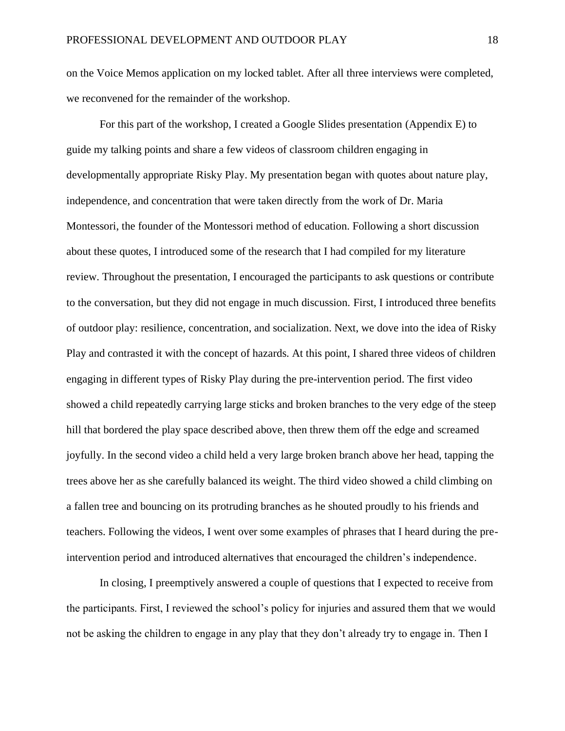on the Voice Memos application on my locked tablet. After all three interviews were completed, we reconvened for the remainder of the workshop.

For this part of the workshop, I created a Google Slides presentation (Appendix E) to guide my talking points and share a few videos of classroom children engaging in developmentally appropriate Risky Play. My presentation began with quotes about nature play, independence, and concentration that were taken directly from the work of Dr. Maria Montessori, the founder of the Montessori method of education. Following a short discussion about these quotes, I introduced some of the research that I had compiled for my literature review. Throughout the presentation, I encouraged the participants to ask questions or contribute to the conversation, but they did not engage in much discussion. First, I introduced three benefits of outdoor play: resilience, concentration, and socialization. Next, we dove into the idea of Risky Play and contrasted it with the concept of hazards. At this point, I shared three videos of children engaging in different types of Risky Play during the pre-intervention period. The first video showed a child repeatedly carrying large sticks and broken branches to the very edge of the steep hill that bordered the play space described above, then threw them off the edge and screamed joyfully. In the second video a child held a very large broken branch above her head, tapping the trees above her as she carefully balanced its weight. The third video showed a child climbing on a fallen tree and bouncing on its protruding branches as he shouted proudly to his friends and teachers. Following the videos, I went over some examples of phrases that I heard during the preintervention period and introduced alternatives that encouraged the children's independence.

In closing, I preemptively answered a couple of questions that I expected to receive from the participants. First, I reviewed the school's policy for injuries and assured them that we would not be asking the children to engage in any play that they don't already try to engage in. Then I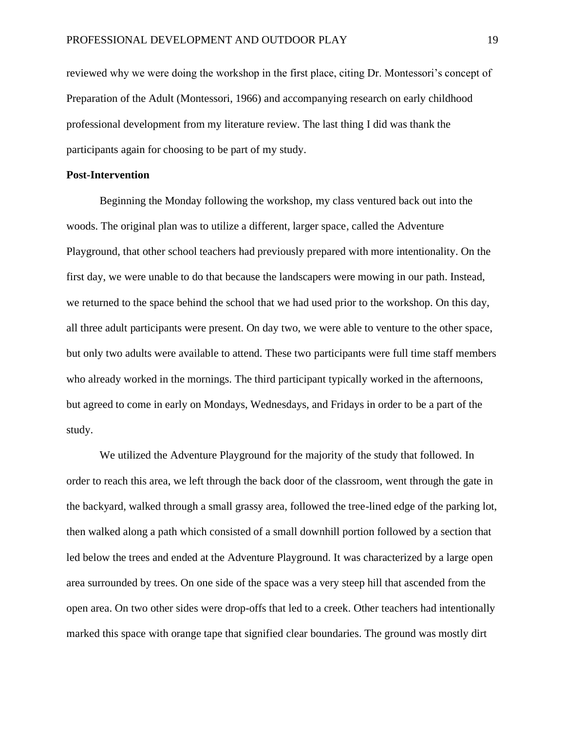reviewed why we were doing the workshop in the first place, citing Dr. Montessori's concept of Preparation of the Adult (Montessori, 1966) and accompanying research on early childhood professional development from my literature review. The last thing I did was thank the participants again for choosing to be part of my study.

### **Post-Intervention**

Beginning the Monday following the workshop, my class ventured back out into the woods. The original plan was to utilize a different, larger space, called the Adventure Playground, that other school teachers had previously prepared with more intentionality. On the first day, we were unable to do that because the landscapers were mowing in our path. Instead, we returned to the space behind the school that we had used prior to the workshop. On this day, all three adult participants were present. On day two, we were able to venture to the other space, but only two adults were available to attend. These two participants were full time staff members who already worked in the mornings. The third participant typically worked in the afternoons, but agreed to come in early on Mondays, Wednesdays, and Fridays in order to be a part of the study.

We utilized the Adventure Playground for the majority of the study that followed. In order to reach this area, we left through the back door of the classroom, went through the gate in the backyard, walked through a small grassy area, followed the tree-lined edge of the parking lot, then walked along a path which consisted of a small downhill portion followed by a section that led below the trees and ended at the Adventure Playground. It was characterized by a large open area surrounded by trees. On one side of the space was a very steep hill that ascended from the open area. On two other sides were drop-offs that led to a creek. Other teachers had intentionally marked this space with orange tape that signified clear boundaries. The ground was mostly dirt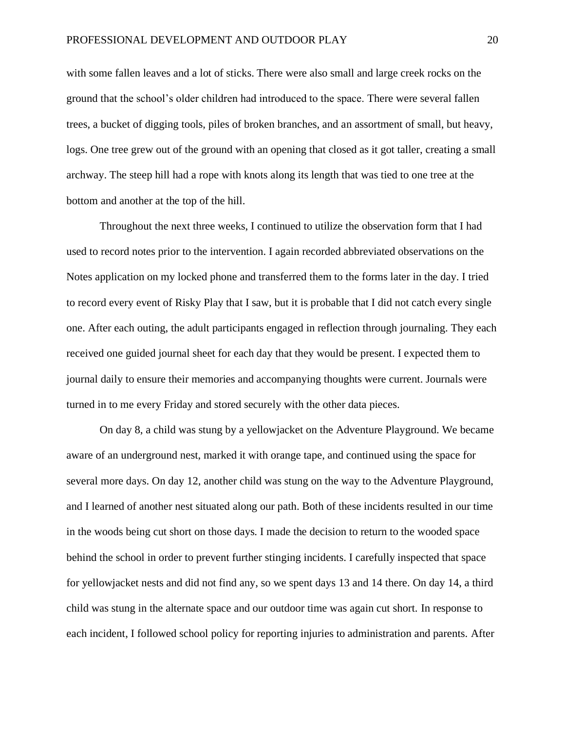with some fallen leaves and a lot of sticks. There were also small and large creek rocks on the ground that the school's older children had introduced to the space. There were several fallen trees, a bucket of digging tools, piles of broken branches, and an assortment of small, but heavy, logs. One tree grew out of the ground with an opening that closed as it got taller, creating a small archway. The steep hill had a rope with knots along its length that was tied to one tree at the bottom and another at the top of the hill.

Throughout the next three weeks, I continued to utilize the observation form that I had used to record notes prior to the intervention. I again recorded abbreviated observations on the Notes application on my locked phone and transferred them to the forms later in the day. I tried to record every event of Risky Play that I saw, but it is probable that I did not catch every single one. After each outing, the adult participants engaged in reflection through journaling. They each received one guided journal sheet for each day that they would be present. I expected them to journal daily to ensure their memories and accompanying thoughts were current. Journals were turned in to me every Friday and stored securely with the other data pieces.

On day 8, a child was stung by a yellowjacket on the Adventure Playground. We became aware of an underground nest, marked it with orange tape, and continued using the space for several more days. On day 12, another child was stung on the way to the Adventure Playground, and I learned of another nest situated along our path. Both of these incidents resulted in our time in the woods being cut short on those days. I made the decision to return to the wooded space behind the school in order to prevent further stinging incidents. I carefully inspected that space for yellowjacket nests and did not find any, so we spent days 13 and 14 there. On day 14, a third child was stung in the alternate space and our outdoor time was again cut short. In response to each incident, I followed school policy for reporting injuries to administration and parents. After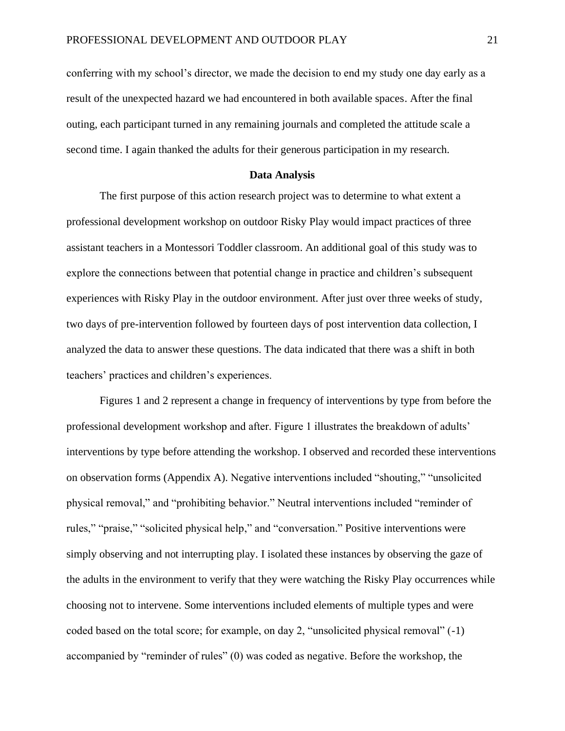conferring with my school's director, we made the decision to end my study one day early as a result of the unexpected hazard we had encountered in both available spaces. After the final outing, each participant turned in any remaining journals and completed the attitude scale a second time. I again thanked the adults for their generous participation in my research.

### **Data Analysis**

The first purpose of this action research project was to determine to what extent a professional development workshop on outdoor Risky Play would impact practices of three assistant teachers in a Montessori Toddler classroom. An additional goal of this study was to explore the connections between that potential change in practice and children's subsequent experiences with Risky Play in the outdoor environment. After just over three weeks of study, two days of pre-intervention followed by fourteen days of post intervention data collection, I analyzed the data to answer these questions. The data indicated that there was a shift in both teachers' practices and children's experiences.

Figures 1 and 2 represent a change in frequency of interventions by type from before the professional development workshop and after. Figure 1 illustrates the breakdown of adults' interventions by type before attending the workshop. I observed and recorded these interventions on observation forms (Appendix A). Negative interventions included "shouting," "unsolicited physical removal," and "prohibiting behavior." Neutral interventions included "reminder of rules," "praise," "solicited physical help," and "conversation." Positive interventions were simply observing and not interrupting play. I isolated these instances by observing the gaze of the adults in the environment to verify that they were watching the Risky Play occurrences while choosing not to intervene. Some interventions included elements of multiple types and were coded based on the total score; for example, on day 2, "unsolicited physical removal" (-1) accompanied by "reminder of rules" (0) was coded as negative. Before the workshop, the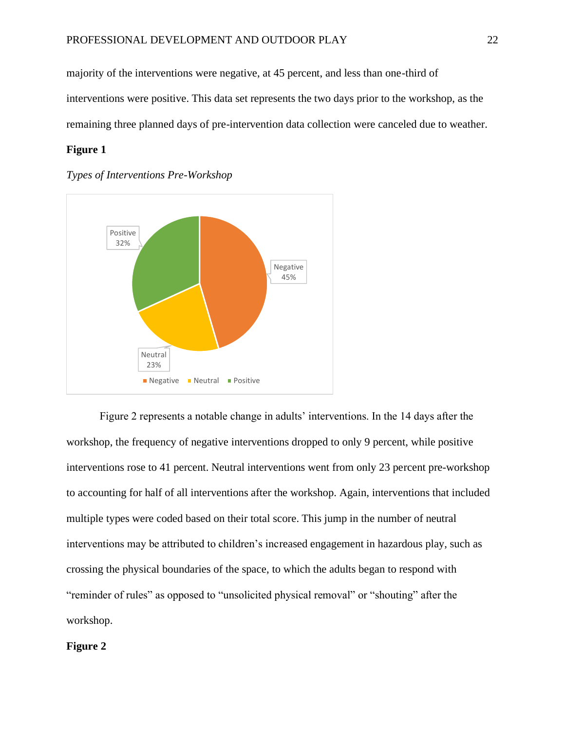majority of the interventions were negative, at 45 percent, and less than one-third of interventions were positive. This data set represents the two days prior to the workshop, as the remaining three planned days of pre-intervention data collection were canceled due to weather.

## **Figure 1**





Figure 2 represents a notable change in adults' interventions. In the 14 days after the workshop, the frequency of negative interventions dropped to only 9 percent, while positive interventions rose to 41 percent. Neutral interventions went from only 23 percent pre-workshop to accounting for half of all interventions after the workshop. Again, interventions that included multiple types were coded based on their total score. This jump in the number of neutral interventions may be attributed to children's increased engagement in hazardous play, such as crossing the physical boundaries of the space, to which the adults began to respond with "reminder of rules" as opposed to "unsolicited physical removal" or "shouting" after the workshop.

## **Figure 2**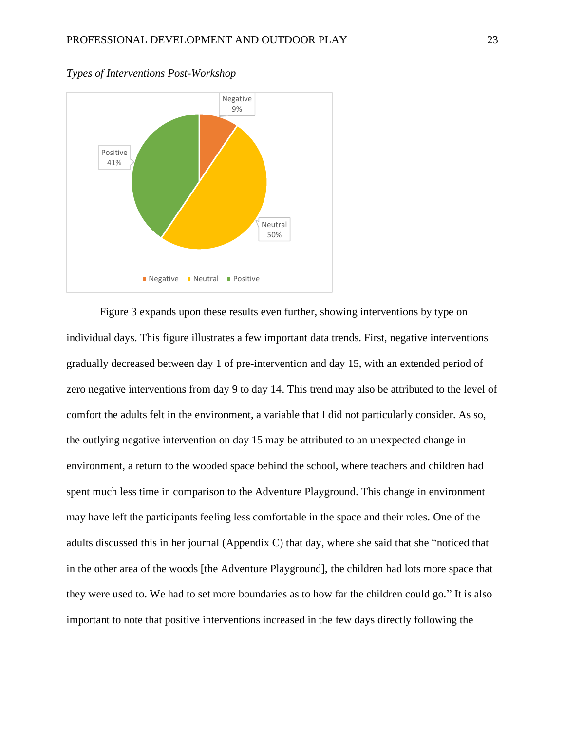

### *Types of Interventions Post-Workshop*

Figure 3 expands upon these results even further, showing interventions by type on individual days. This figure illustrates a few important data trends. First, negative interventions gradually decreased between day 1 of pre-intervention and day 15, with an extended period of zero negative interventions from day 9 to day 14. This trend may also be attributed to the level of comfort the adults felt in the environment, a variable that I did not particularly consider. As so, the outlying negative intervention on day 15 may be attributed to an unexpected change in environment, a return to the wooded space behind the school, where teachers and children had spent much less time in comparison to the Adventure Playground. This change in environment may have left the participants feeling less comfortable in the space and their roles. One of the adults discussed this in her journal (Appendix C) that day, where she said that she "noticed that in the other area of the woods [the Adventure Playground], the children had lots more space that they were used to. We had to set more boundaries as to how far the children could go." It is also important to note that positive interventions increased in the few days directly following the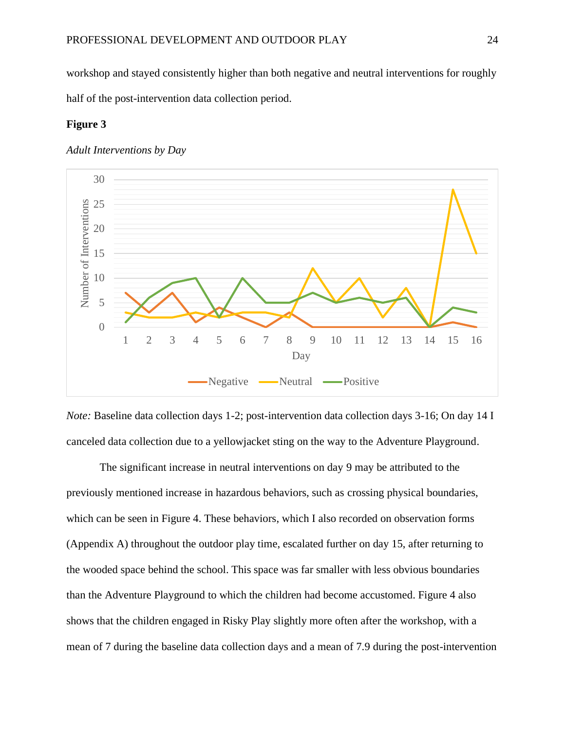workshop and stayed consistently higher than both negative and neutral interventions for roughly half of the post-intervention data collection period.

### **Figure 3**

### *Adult Interventions by Day*



*Note:* Baseline data collection days 1-2; post-intervention data collection days 3-16; On day 14 I canceled data collection due to a yellowjacket sting on the way to the Adventure Playground.

The significant increase in neutral interventions on day 9 may be attributed to the previously mentioned increase in hazardous behaviors, such as crossing physical boundaries, which can be seen in Figure 4. These behaviors, which I also recorded on observation forms (Appendix A) throughout the outdoor play time, escalated further on day 15, after returning to the wooded space behind the school. This space was far smaller with less obvious boundaries than the Adventure Playground to which the children had become accustomed. Figure 4 also shows that the children engaged in Risky Play slightly more often after the workshop, with a mean of 7 during the baseline data collection days and a mean of 7.9 during the post-intervention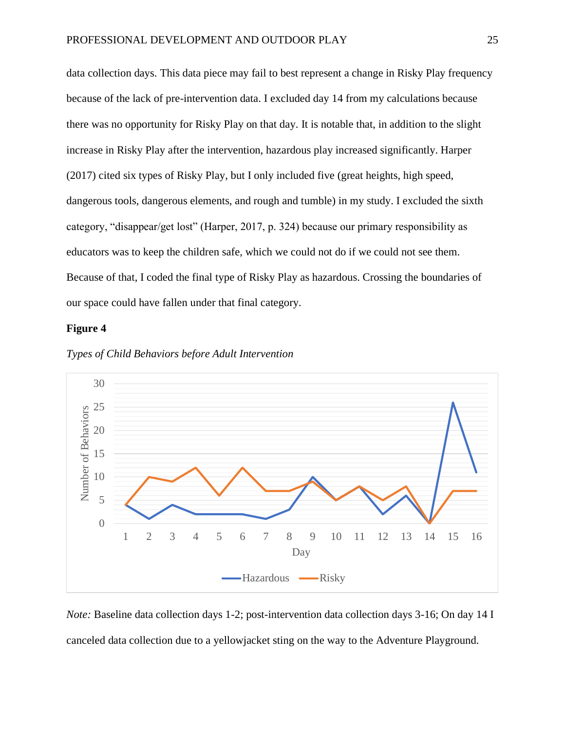data collection days. This data piece may fail to best represent a change in Risky Play frequency because of the lack of pre-intervention data. I excluded day 14 from my calculations because there was no opportunity for Risky Play on that day. It is notable that, in addition to the slight increase in Risky Play after the intervention, hazardous play increased significantly. Harper (2017) cited six types of Risky Play, but I only included five (great heights, high speed, dangerous tools, dangerous elements, and rough and tumble) in my study. I excluded the sixth category, "disappear/get lost" (Harper, 2017, p. 324) because our primary responsibility as educators was to keep the children safe, which we could not do if we could not see them. Because of that, I coded the final type of Risky Play as hazardous. Crossing the boundaries of our space could have fallen under that final category.

### **Figure 4**





*Note:* Baseline data collection days 1-2; post-intervention data collection days 3-16; On day 14 I canceled data collection due to a yellowjacket sting on the way to the Adventure Playground.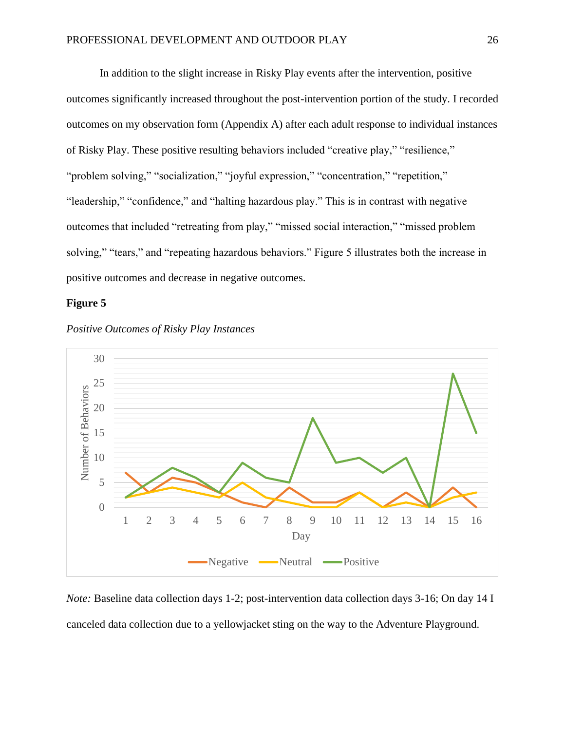In addition to the slight increase in Risky Play events after the intervention, positive outcomes significantly increased throughout the post-intervention portion of the study. I recorded outcomes on my observation form (Appendix A) after each adult response to individual instances of Risky Play. These positive resulting behaviors included "creative play," "resilience," "problem solving," "socialization," "joyful expression," "concentration," "repetition," "leadership," "confidence," and "halting hazardous play." This is in contrast with negative outcomes that included "retreating from play," "missed social interaction," "missed problem solving," "tears," and "repeating hazardous behaviors." Figure 5 illustrates both the increase in positive outcomes and decrease in negative outcomes.

#### **Figure 5**





*Note:* Baseline data collection days 1-2; post-intervention data collection days 3-16; On day 14 I canceled data collection due to a yellowjacket sting on the way to the Adventure Playground.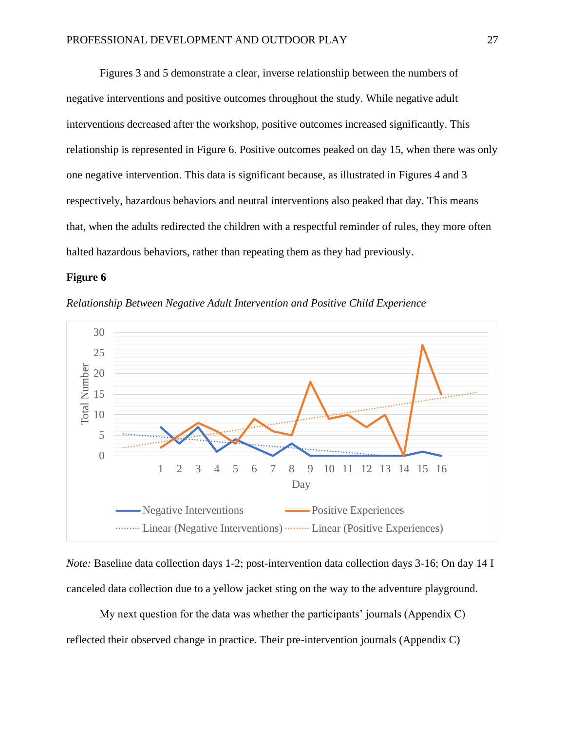Figures 3 and 5 demonstrate a clear, inverse relationship between the numbers of negative interventions and positive outcomes throughout the study. While negative adult interventions decreased after the workshop, positive outcomes increased significantly. This relationship is represented in Figure 6. Positive outcomes peaked on day 15, when there was only one negative intervention. This data is significant because, as illustrated in Figures 4 and 3 respectively, hazardous behaviors and neutral interventions also peaked that day. This means that, when the adults redirected the children with a respectful reminder of rules, they more often halted hazardous behaviors, rather than repeating them as they had previously.

### **Figure 6**





*Note:* Baseline data collection days 1-2; post-intervention data collection days 3-16; On day 14 I canceled data collection due to a yellow jacket sting on the way to the adventure playground.

My next question for the data was whether the participants' journals (Appendix C) reflected their observed change in practice. Their pre-intervention journals (Appendix C)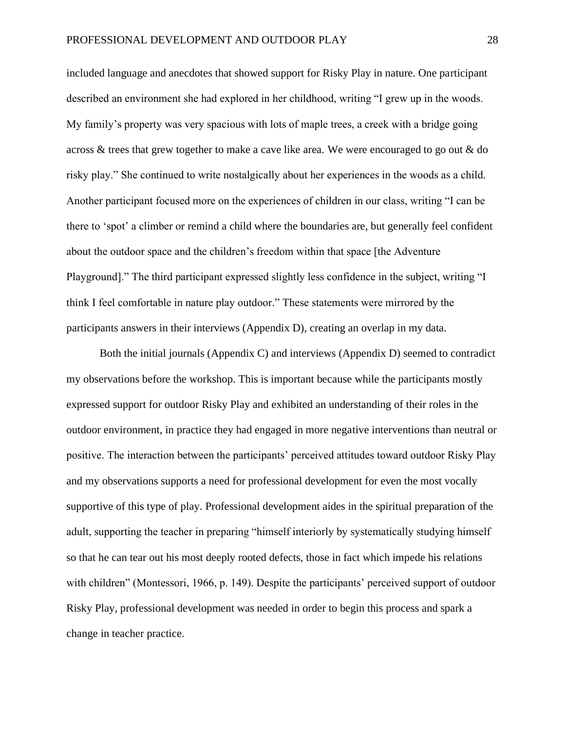included language and anecdotes that showed support for Risky Play in nature. One participant described an environment she had explored in her childhood, writing "I grew up in the woods. My family's property was very spacious with lots of maple trees, a creek with a bridge going across & trees that grew together to make a cave like area. We were encouraged to go out & do risky play." She continued to write nostalgically about her experiences in the woods as a child. Another participant focused more on the experiences of children in our class, writing "I can be there to 'spot' a climber or remind a child where the boundaries are, but generally feel confident about the outdoor space and the children's freedom within that space [the Adventure Playground]." The third participant expressed slightly less confidence in the subject, writing "I think I feel comfortable in nature play outdoor." These statements were mirrored by the participants answers in their interviews (Appendix D), creating an overlap in my data.

Both the initial journals (Appendix C) and interviews (Appendix D) seemed to contradict my observations before the workshop. This is important because while the participants mostly expressed support for outdoor Risky Play and exhibited an understanding of their roles in the outdoor environment, in practice they had engaged in more negative interventions than neutral or positive. The interaction between the participants' perceived attitudes toward outdoor Risky Play and my observations supports a need for professional development for even the most vocally supportive of this type of play. Professional development aides in the spiritual preparation of the adult, supporting the teacher in preparing "himself interiorly by systematically studying himself so that he can tear out his most deeply rooted defects, those in fact which impede his relations with children" (Montessori, 1966, p. 149). Despite the participants' perceived support of outdoor Risky Play, professional development was needed in order to begin this process and spark a change in teacher practice.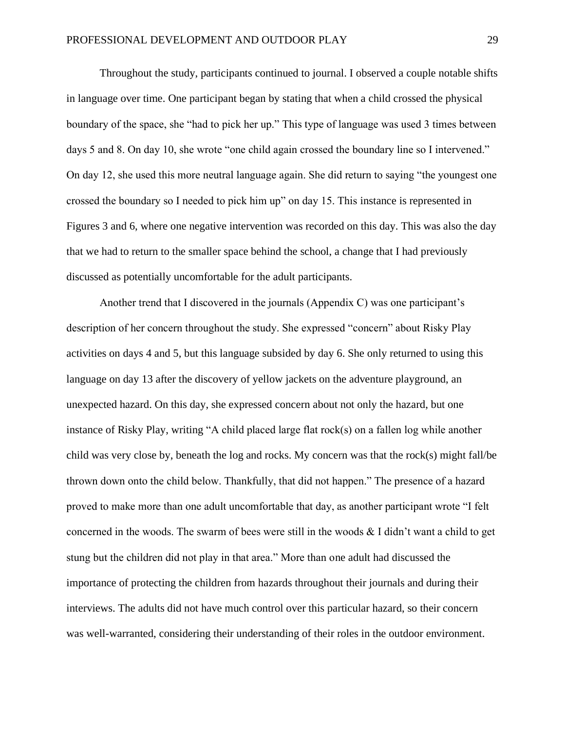Throughout the study, participants continued to journal. I observed a couple notable shifts in language over time. One participant began by stating that when a child crossed the physical boundary of the space, she "had to pick her up." This type of language was used 3 times between days 5 and 8. On day 10, she wrote "one child again crossed the boundary line so I intervened." On day 12, she used this more neutral language again. She did return to saying "the youngest one crossed the boundary so I needed to pick him up" on day 15. This instance is represented in Figures 3 and 6, where one negative intervention was recorded on this day. This was also the day that we had to return to the smaller space behind the school, a change that I had previously discussed as potentially uncomfortable for the adult participants.

Another trend that I discovered in the journals (Appendix C) was one participant's description of her concern throughout the study. She expressed "concern" about Risky Play activities on days 4 and 5, but this language subsided by day 6. She only returned to using this language on day 13 after the discovery of yellow jackets on the adventure playground, an unexpected hazard. On this day, she expressed concern about not only the hazard, but one instance of Risky Play, writing "A child placed large flat rock(s) on a fallen log while another child was very close by, beneath the log and rocks. My concern was that the rock(s) might fall/be thrown down onto the child below. Thankfully, that did not happen." The presence of a hazard proved to make more than one adult uncomfortable that day, as another participant wrote "I felt concerned in the woods. The swarm of bees were still in the woods  $\&$  I didn't want a child to get stung but the children did not play in that area." More than one adult had discussed the importance of protecting the children from hazards throughout their journals and during their interviews. The adults did not have much control over this particular hazard, so their concern was well-warranted, considering their understanding of their roles in the outdoor environment.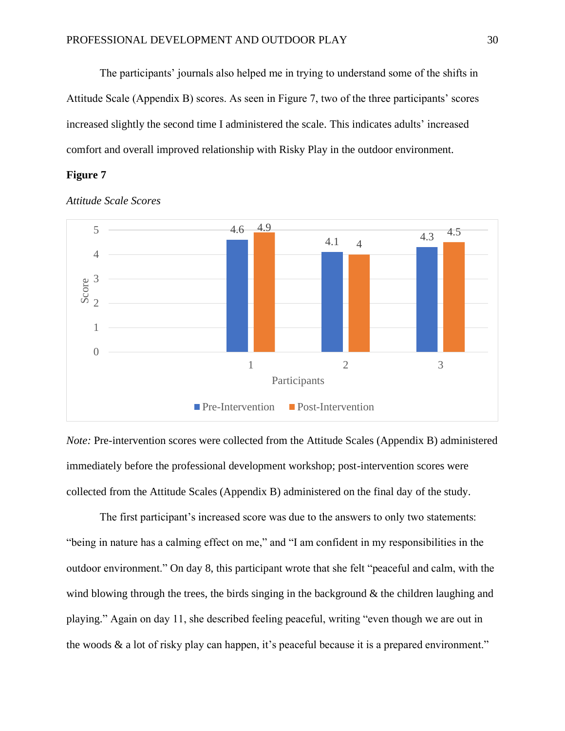The participants' journals also helped me in trying to understand some of the shifts in Attitude Scale (Appendix B) scores. As seen in Figure 7, two of the three participants' scores increased slightly the second time I administered the scale. This indicates adults' increased comfort and overall improved relationship with Risky Play in the outdoor environment.

## **Figure 7**



*Attitude Scale Scores*

*Note:* Pre-intervention scores were collected from the Attitude Scales (Appendix B) administered immediately before the professional development workshop; post-intervention scores were collected from the Attitude Scales (Appendix B) administered on the final day of the study.

The first participant's increased score was due to the answers to only two statements: "being in nature has a calming effect on me," and "I am confident in my responsibilities in the outdoor environment." On day 8, this participant wrote that she felt "peaceful and calm, with the wind blowing through the trees, the birds singing in the background  $\&$  the children laughing and playing." Again on day 11, she described feeling peaceful, writing "even though we are out in the woods & a lot of risky play can happen, it's peaceful because it is a prepared environment."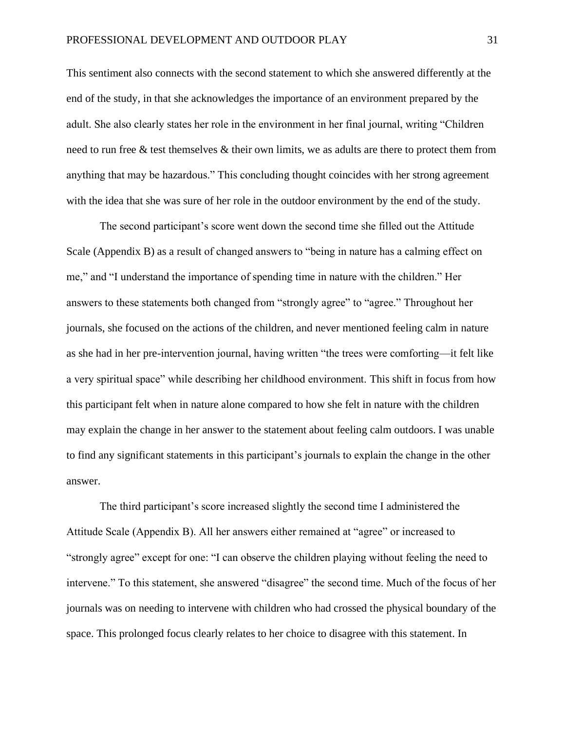This sentiment also connects with the second statement to which she answered differently at the end of the study, in that she acknowledges the importance of an environment prepared by the adult. She also clearly states her role in the environment in her final journal, writing "Children need to run free & test themselves & their own limits, we as adults are there to protect them from anything that may be hazardous." This concluding thought coincides with her strong agreement with the idea that she was sure of her role in the outdoor environment by the end of the study.

The second participant's score went down the second time she filled out the Attitude Scale (Appendix B) as a result of changed answers to "being in nature has a calming effect on me," and "I understand the importance of spending time in nature with the children." Her answers to these statements both changed from "strongly agree" to "agree." Throughout her journals, she focused on the actions of the children, and never mentioned feeling calm in nature as she had in her pre-intervention journal, having written "the trees were comforting—it felt like a very spiritual space" while describing her childhood environment. This shift in focus from how this participant felt when in nature alone compared to how she felt in nature with the children may explain the change in her answer to the statement about feeling calm outdoors. I was unable to find any significant statements in this participant's journals to explain the change in the other answer.

The third participant's score increased slightly the second time I administered the Attitude Scale (Appendix B). All her answers either remained at "agree" or increased to "strongly agree" except for one: "I can observe the children playing without feeling the need to intervene." To this statement, she answered "disagree" the second time. Much of the focus of her journals was on needing to intervene with children who had crossed the physical boundary of the space. This prolonged focus clearly relates to her choice to disagree with this statement. In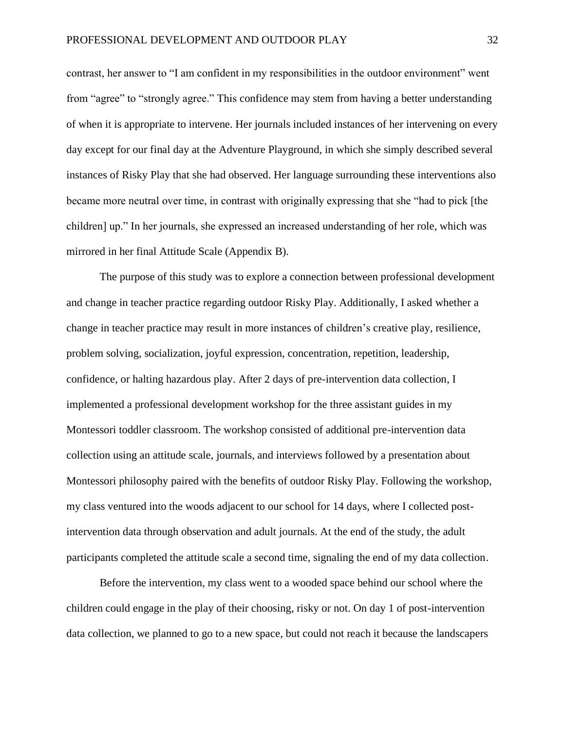contrast, her answer to "I am confident in my responsibilities in the outdoor environment" went from "agree" to "strongly agree." This confidence may stem from having a better understanding of when it is appropriate to intervene. Her journals included instances of her intervening on every day except for our final day at the Adventure Playground, in which she simply described several instances of Risky Play that she had observed. Her language surrounding these interventions also became more neutral over time, in contrast with originally expressing that she "had to pick [the children] up." In her journals, she expressed an increased understanding of her role, which was mirrored in her final Attitude Scale (Appendix B).

The purpose of this study was to explore a connection between professional development and change in teacher practice regarding outdoor Risky Play. Additionally, I asked whether a change in teacher practice may result in more instances of children's creative play, resilience, problem solving, socialization, joyful expression, concentration, repetition, leadership, confidence, or halting hazardous play. After 2 days of pre-intervention data collection, I implemented a professional development workshop for the three assistant guides in my Montessori toddler classroom. The workshop consisted of additional pre-intervention data collection using an attitude scale, journals, and interviews followed by a presentation about Montessori philosophy paired with the benefits of outdoor Risky Play. Following the workshop, my class ventured into the woods adjacent to our school for 14 days, where I collected postintervention data through observation and adult journals. At the end of the study, the adult participants completed the attitude scale a second time, signaling the end of my data collection.

Before the intervention, my class went to a wooded space behind our school where the children could engage in the play of their choosing, risky or not. On day 1 of post-intervention data collection, we planned to go to a new space, but could not reach it because the landscapers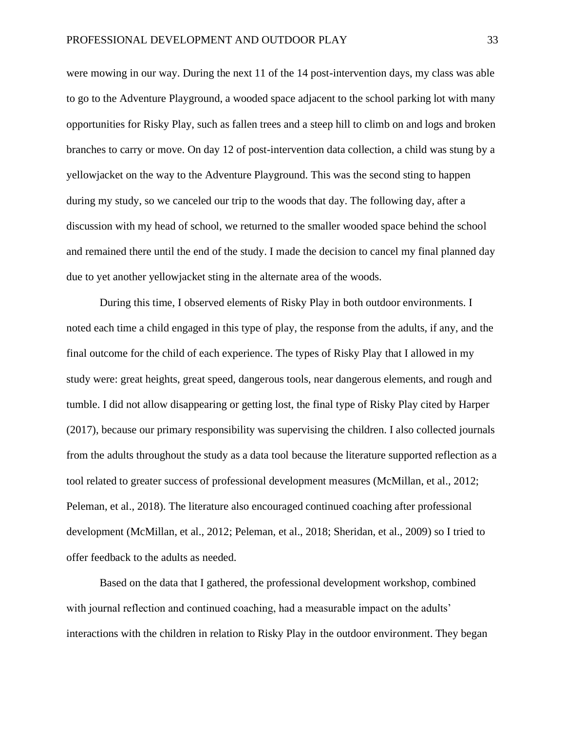were mowing in our way. During the next 11 of the 14 post-intervention days, my class was able to go to the Adventure Playground, a wooded space adjacent to the school parking lot with many opportunities for Risky Play, such as fallen trees and a steep hill to climb on and logs and broken branches to carry or move. On day 12 of post-intervention data collection, a child was stung by a yellowjacket on the way to the Adventure Playground. This was the second sting to happen during my study, so we canceled our trip to the woods that day. The following day, after a discussion with my head of school, we returned to the smaller wooded space behind the school and remained there until the end of the study. I made the decision to cancel my final planned day due to yet another yellowjacket sting in the alternate area of the woods.

During this time, I observed elements of Risky Play in both outdoor environments. I noted each time a child engaged in this type of play, the response from the adults, if any, and the final outcome for the child of each experience. The types of Risky Play that I allowed in my study were: great heights, great speed, dangerous tools, near dangerous elements, and rough and tumble. I did not allow disappearing or getting lost, the final type of Risky Play cited by Harper (2017), because our primary responsibility was supervising the children. I also collected journals from the adults throughout the study as a data tool because the literature supported reflection as a tool related to greater success of professional development measures (McMillan, et al., 2012; Peleman, et al., 2018). The literature also encouraged continued coaching after professional development (McMillan, et al., 2012; Peleman, et al., 2018; Sheridan, et al., 2009) so I tried to offer feedback to the adults as needed.

Based on the data that I gathered, the professional development workshop, combined with journal reflection and continued coaching, had a measurable impact on the adults' interactions with the children in relation to Risky Play in the outdoor environment. They began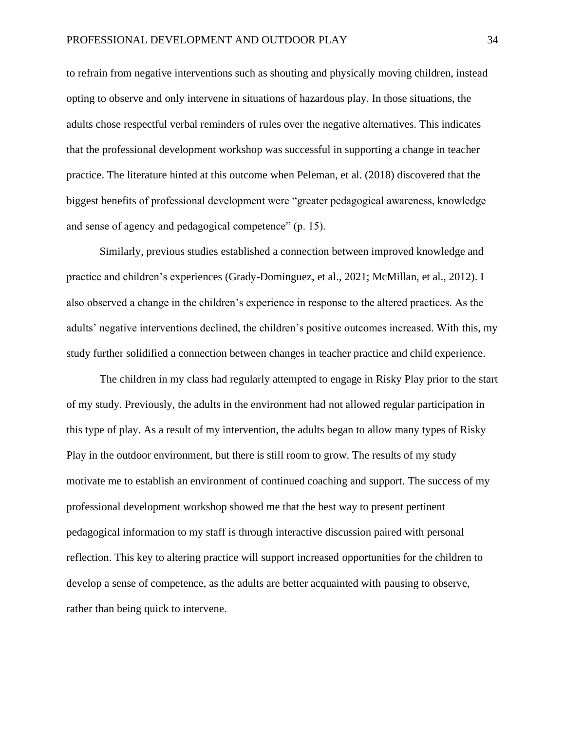to refrain from negative interventions such as shouting and physically moving children, instead opting to observe and only intervene in situations of hazardous play. In those situations, the adults chose respectful verbal reminders of rules over the negative alternatives. This indicates that the professional development workshop was successful in supporting a change in teacher practice. The literature hinted at this outcome when Peleman, et al. (2018) discovered that the biggest benefits of professional development were "greater pedagogical awareness, knowledge and sense of agency and pedagogical competence" (p. 15).

Similarly, previous studies established a connection between improved knowledge and practice and children's experiences (Grady-Dominguez, et al., 2021; McMillan, et al., 2012). I also observed a change in the children's experience in response to the altered practices. As the adults' negative interventions declined, the children's positive outcomes increased. With this, my study further solidified a connection between changes in teacher practice and child experience.

The children in my class had regularly attempted to engage in Risky Play prior to the start of my study. Previously, the adults in the environment had not allowed regular participation in this type of play. As a result of my intervention, the adults began to allow many types of Risky Play in the outdoor environment, but there is still room to grow. The results of my study motivate me to establish an environment of continued coaching and support. The success of my professional development workshop showed me that the best way to present pertinent pedagogical information to my staff is through interactive discussion paired with personal reflection. This key to altering practice will support increased opportunities for the children to develop a sense of competence, as the adults are better acquainted with pausing to observe, rather than being quick to intervene.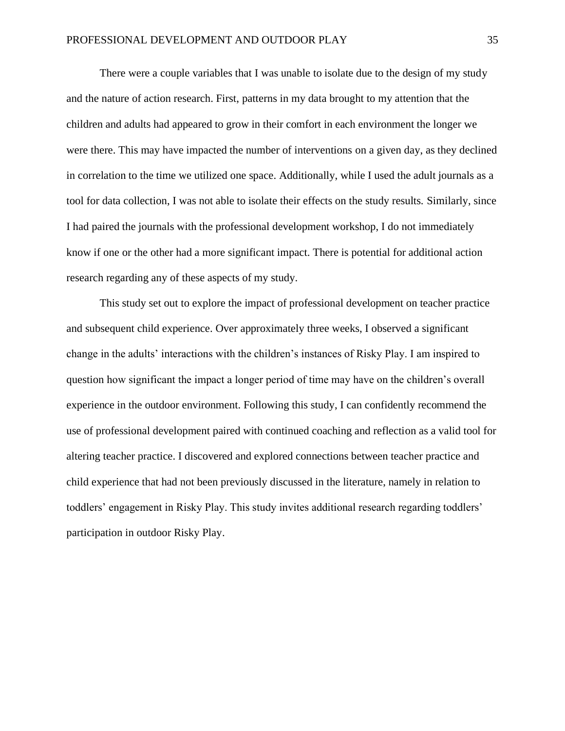There were a couple variables that I was unable to isolate due to the design of my study and the nature of action research. First, patterns in my data brought to my attention that the children and adults had appeared to grow in their comfort in each environment the longer we were there. This may have impacted the number of interventions on a given day, as they declined in correlation to the time we utilized one space. Additionally, while I used the adult journals as a tool for data collection, I was not able to isolate their effects on the study results. Similarly, since I had paired the journals with the professional development workshop, I do not immediately know if one or the other had a more significant impact. There is potential for additional action research regarding any of these aspects of my study.

This study set out to explore the impact of professional development on teacher practice and subsequent child experience. Over approximately three weeks, I observed a significant change in the adults' interactions with the children's instances of Risky Play. I am inspired to question how significant the impact a longer period of time may have on the children's overall experience in the outdoor environment. Following this study, I can confidently recommend the use of professional development paired with continued coaching and reflection as a valid tool for altering teacher practice. I discovered and explored connections between teacher practice and child experience that had not been previously discussed in the literature, namely in relation to toddlers' engagement in Risky Play. This study invites additional research regarding toddlers' participation in outdoor Risky Play.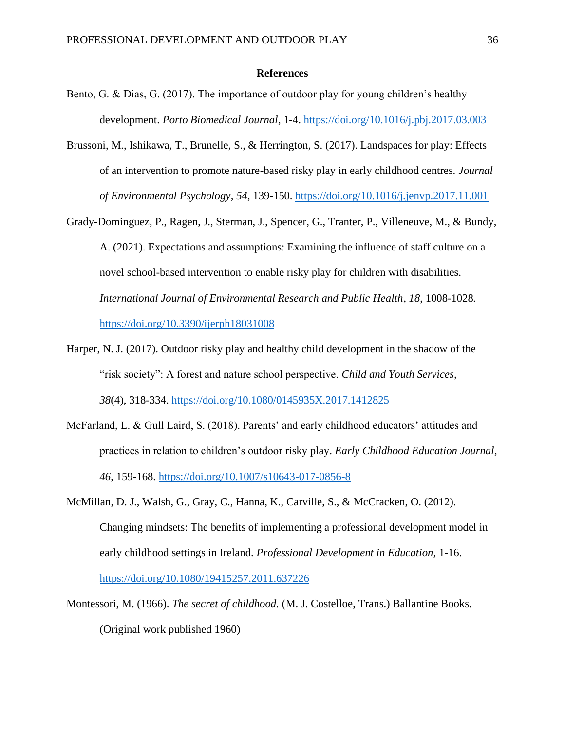#### **References**

- Bento, G. & Dias, G. (2017). The importance of outdoor play for young children's healthy development. *Porto Biomedical Journal*, 1-4.<https://doi.org/10.1016/j.pbj.2017.03.003>
- Brussoni, M., Ishikawa, T., Brunelle, S., & Herrington, S. (2017). Landspaces for play: Effects of an intervention to promote nature-based risky play in early childhood centres. *Journal of Environmental Psychology, 54*, 139-150.<https://doi.org/10.1016/j.jenvp.2017.11.001>
- Grady-Dominguez, P., Ragen, J., Sterman, J., Spencer, G., Tranter, P., Villeneuve, M., & Bundy, A. (2021). Expectations and assumptions: Examining the influence of staff culture on a novel school-based intervention to enable risky play for children with disabilities. *International Journal of Environmental Research and Public Health, 18*, 1008-1028. <https://doi.org/10.3390/ijerph18031008>
- Harper, N. J. (2017). Outdoor risky play and healthy child development in the shadow of the "risk society": A forest and nature school perspective. *Child and Youth Services, 38*(4), 318-334.<https://doi.org/10.1080/0145935X.2017.1412825>
- McFarland, L. & Gull Laird, S. (2018). Parents' and early childhood educators' attitudes and practices in relation to children's outdoor risky play. *Early Childhood Education Journal, 46*, 159-168.<https://doi.org/10.1007/s10643-017-0856-8>
- McMillan, D. J., Walsh, G., Gray, C., Hanna, K., Carville, S., & McCracken, O. (2012). Changing mindsets: The benefits of implementing a professional development model in early childhood settings in Ireland. *Professional Development in Education,* 1-16. <https://doi.org/10.1080/19415257.2011.637226>
- Montessori, M. (1966). *The secret of childhood.* (M. J. Costelloe, Trans.) Ballantine Books. (Original work published 1960)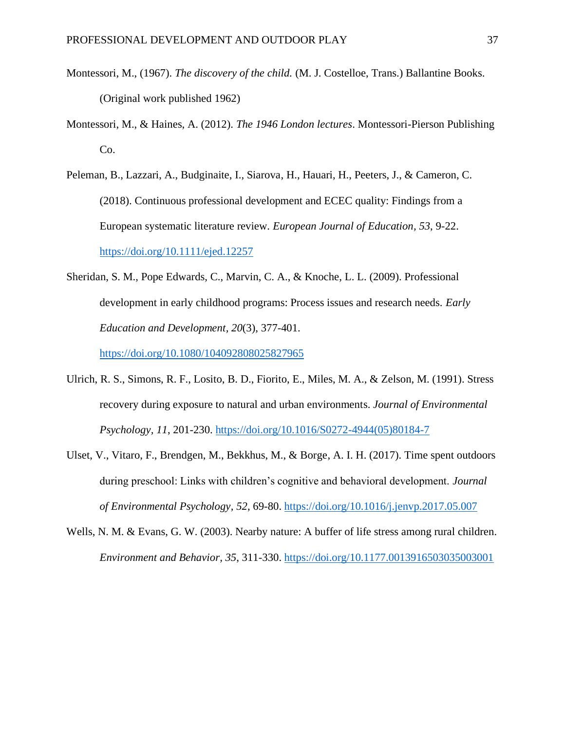- Montessori, M., (1967). *The discovery of the child.* (M. J. Costelloe, Trans.) Ballantine Books. (Original work published 1962)
- Montessori, M., & Haines, A. (2012). *The 1946 London lectures*. Montessori-Pierson Publishing Co.
- Peleman, B., Lazzari, A., Budginaite, I., Siarova, H., Hauari, H., Peeters, J., & Cameron, C. (2018). Continuous professional development and ECEC quality: Findings from a European systematic literature review. *European Journal of Education, 53*, 9-22. <https://doi.org/10.1111/ejed.12257>
- Sheridan, S. M., Pope Edwards, C., Marvin, C. A., & Knoche, L. L. (2009). Professional development in early childhood programs: Process issues and research needs. *Early Education and Development, 20*(3), 377-401.

<https://doi.org/10.1080/104092808025827965>

- Ulrich, R. S., Simons, R. F., Losito, B. D., Fiorito, E., Miles, M. A., & Zelson, M. (1991). Stress recovery during exposure to natural and urban environments. *Journal of Environmental Psychology, 11*, 201-230. [https://doi.org/10.1016/S0272-4944\(05\)80184-7](https://doi.org/10.1016/S0272-4944(05)80184-7)
- Ulset, V., Vitaro, F., Brendgen, M., Bekkhus, M., & Borge, A. I. H. (2017). Time spent outdoors during preschool: Links with children's cognitive and behavioral development. *Journal of Environmental Psychology, 52*, 69-80.<https://doi.org/10.1016/j.jenvp.2017.05.007>
- Wells, N. M. & Evans, G. W. (2003). Nearby nature: A buffer of life stress among rural children. *Environment and Behavior, 35*, 311-330.<https://doi.org/10.1177.0013916503035003001>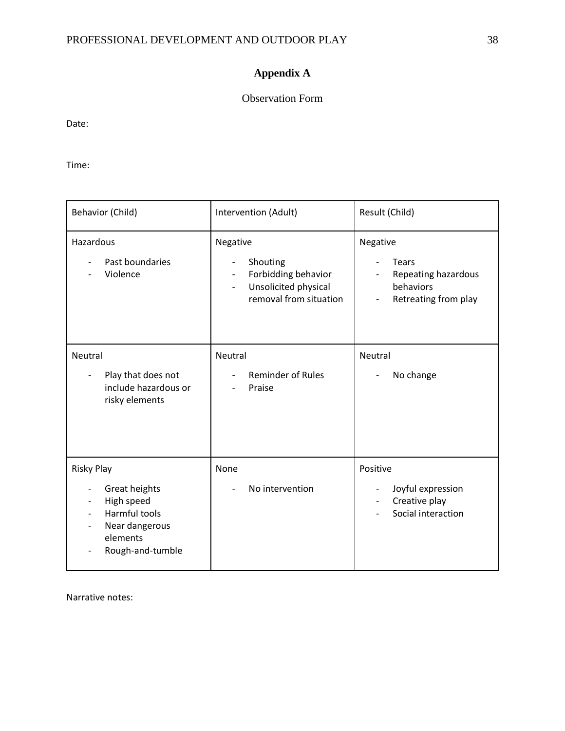## **Appendix A**

## Observation Form

Date:

Time:

| Behavior (Child)                                                                                                           | Intervention (Adult)                                                                                                                                                              | Result (Child)                                                                |
|----------------------------------------------------------------------------------------------------------------------------|-----------------------------------------------------------------------------------------------------------------------------------------------------------------------------------|-------------------------------------------------------------------------------|
| Hazardous<br>Past boundaries<br>Violence                                                                                   | Negative<br>Shouting<br>$\overline{\phantom{a}}$<br>Forbidding behavior<br>$\overline{\phantom{a}}$<br>Unsolicited physical<br>$\overline{\phantom{0}}$<br>removal from situation | Negative<br>Tears<br>Repeating hazardous<br>behaviors<br>Retreating from play |
| Neutral<br>Play that does not<br>include hazardous or<br>risky elements                                                    | Neutral<br><b>Reminder of Rules</b><br>Praise                                                                                                                                     | Neutral<br>No change                                                          |
| <b>Risky Play</b><br>Great heights<br>High speed<br><b>Harmful tools</b><br>Near dangerous<br>elements<br>Rough-and-tumble | None<br>No intervention                                                                                                                                                           | Positive<br>Joyful expression<br>Creative play<br>Social interaction          |

Narrative notes: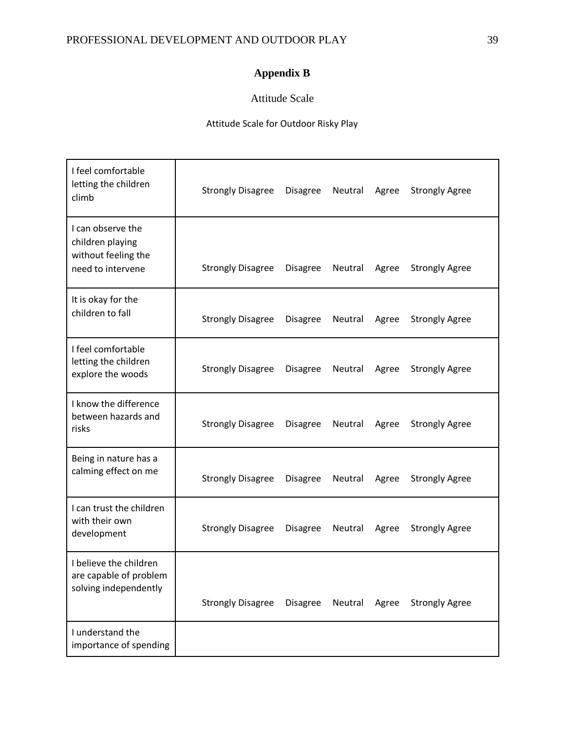## **Appendix B**

## Attitude Scale

## Attitude Scale for Outdoor Risky Play

| I feel comfortable<br>letting the children<br>climb                               | <b>Strongly Disagree</b> | <b>Disagree</b> | Neutral | Agree | <b>Strongly Agree</b> |
|-----------------------------------------------------------------------------------|--------------------------|-----------------|---------|-------|-----------------------|
| I can observe the<br>children playing<br>without feeling the<br>need to intervene | <b>Strongly Disagree</b> | <b>Disagree</b> | Neutral | Agree | <b>Strongly Agree</b> |
| It is okay for the<br>children to fall                                            | <b>Strongly Disagree</b> | <b>Disagree</b> | Neutral | Agree | <b>Strongly Agree</b> |
| I feel comfortable<br>letting the children<br>explore the woods                   | <b>Strongly Disagree</b> | <b>Disagree</b> | Neutral | Agree | <b>Strongly Agree</b> |
| I know the difference<br>between hazards and<br>risks                             | <b>Strongly Disagree</b> | <b>Disagree</b> | Neutral | Agree | <b>Strongly Agree</b> |
| Being in nature has a<br>calming effect on me                                     | <b>Strongly Disagree</b> | <b>Disagree</b> | Neutral | Agree | <b>Strongly Agree</b> |
| I can trust the children<br>with their own<br>development                         | <b>Strongly Disagree</b> | <b>Disagree</b> | Neutral | Agree | <b>Strongly Agree</b> |
| I believe the children<br>are capable of problem<br>solving independently         | <b>Strongly Disagree</b> | <b>Disagree</b> | Neutral | Agree | <b>Strongly Agree</b> |
| I understand the<br>importance of spending                                        |                          |                 |         |       |                       |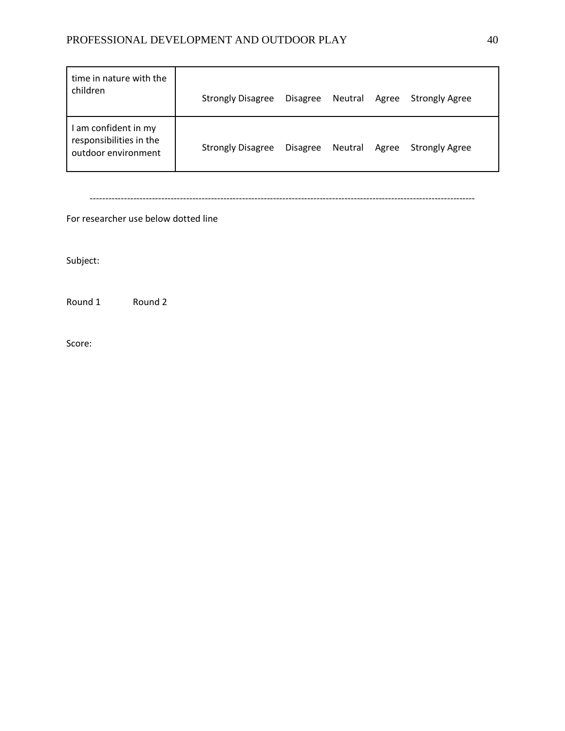## PROFESSIONAL DEVELOPMENT AND OUTDOOR PLAY 40

| time in nature with the<br>children                                  | <b>Strongly Disagree</b> | <b>Disagree</b> | Neutral | Agree | <b>Strongly Agree</b> |
|----------------------------------------------------------------------|--------------------------|-----------------|---------|-------|-----------------------|
| am confident in my<br>responsibilities in the<br>outdoor environment | <b>Strongly Disagree</b> | <b>Disagree</b> | Neutral | Agree | <b>Strongly Agree</b> |

----------------------------------------------------------------------------------------------------------------------------

For researcher use below dotted line

Subject:

Round 1 Round 2

Score: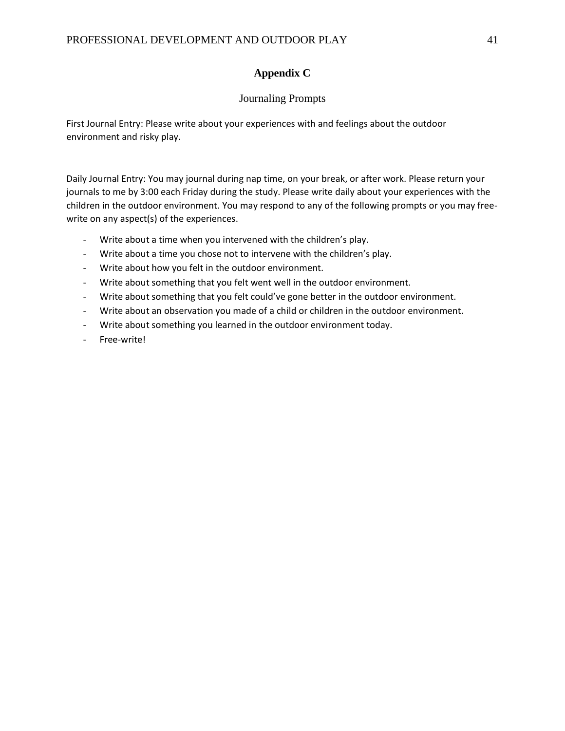## **Appendix C**

## Journaling Prompts

First Journal Entry: Please write about your experiences with and feelings about the outdoor environment and risky play.

Daily Journal Entry: You may journal during nap time, on your break, or after work. Please return your journals to me by 3:00 each Friday during the study. Please write daily about your experiences with the children in the outdoor environment. You may respond to any of the following prompts or you may freewrite on any aspect(s) of the experiences.

- Write about a time when you intervened with the children's play.
- Write about a time you chose not to intervene with the children's play.
- Write about how you felt in the outdoor environment.
- Write about something that you felt went well in the outdoor environment.
- Write about something that you felt could've gone better in the outdoor environment.
- Write about an observation you made of a child or children in the outdoor environment.
- Write about something you learned in the outdoor environment today.
- Free-write!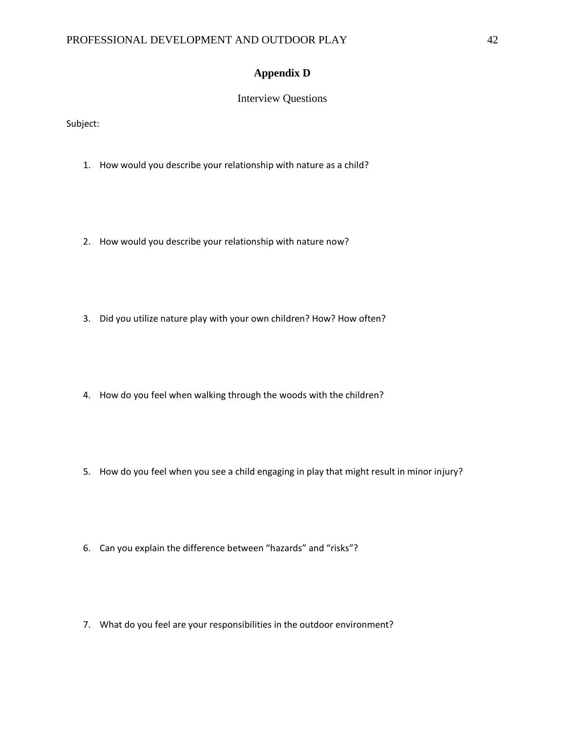## **Appendix D**

## Interview Questions

Subject:

- 1. How would you describe your relationship with nature as a child?
- 2. How would you describe your relationship with nature now?
- 3. Did you utilize nature play with your own children? How? How often?
- 4. How do you feel when walking through the woods with the children?
- 5. How do you feel when you see a child engaging in play that might result in minor injury?
- 6. Can you explain the difference between "hazards" and "risks"?
- 7. What do you feel are your responsibilities in the outdoor environment?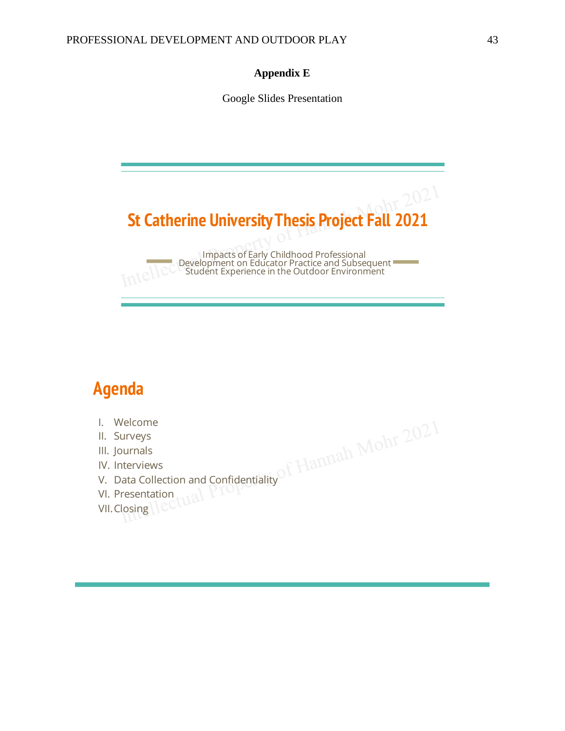## **Appendix E**

Google Slides Presentation



# **Agenda**

- I. Welcome
- 
- 
- 
- V
- V
- V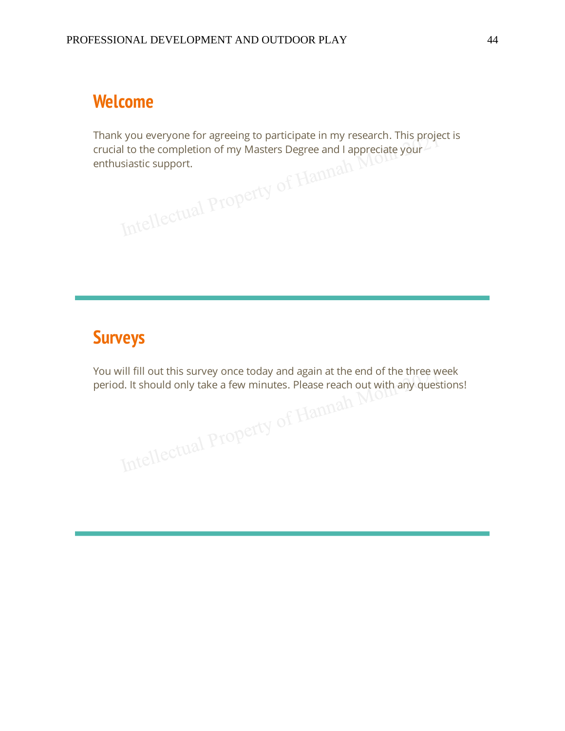# **Welcome**

Thank you everyone for agreeing to participate in my research. This project is al to the completion of my Masters Degree and I appreciations of my Masters Degree and I appreciations. crucial to the completion of my Masters Degree and I appreciate your enthusiastic support.

# **Surveys**

You will fill out this survey once today and again at the end of the three week period. It should only take a few minutes. Please reach out with any questions! Intellectual Property of Hammad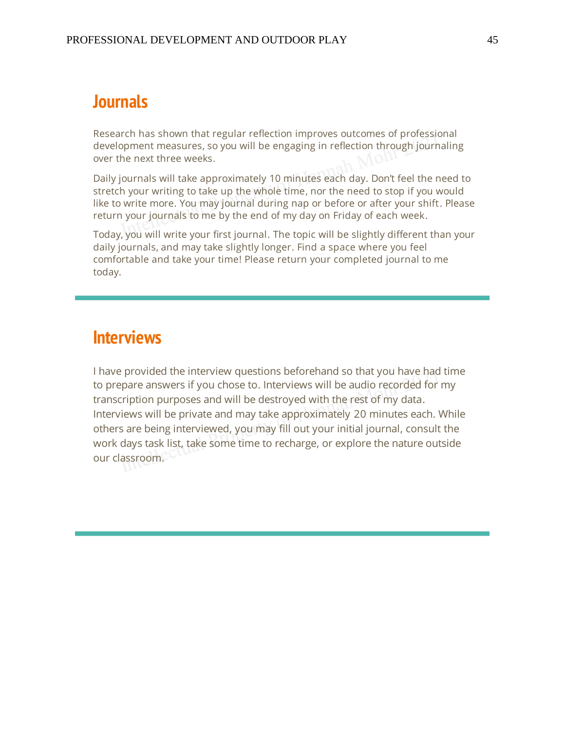## **lournals**

Research has shown that regular reflection improves outcomes of professional development measures, so you will be engaging in reflection through journaling over the next three weeks.

Daily journals will take approximately 10 minutes each day. Don't feel the need to stretch your writing to take up the whole time, nor the need to stop if you would like to write more. You may journal during nap or before or after your shift. Please return your journals to me by the end of my day on Friday of each week.

Today, you will write your first journal. The topic will be slightly different than your daily journals, and may take slightly longer. Find a space where you feel comfortable and take your time! Please return your completed journal to me today.

## **Interviews**

I have provided the interview questions beforehand so that you have had time to prepare answers if you chose to. Interviews will be audio recorded for my transcription purposes and will be destroyed with the rest of my data. Interviews will be private and may take approximately 20 minutes each. While others are being interviewed, you may fill out your initial journal, consult the work days task list, take some time to recharge, or explore the nature outside our classroom.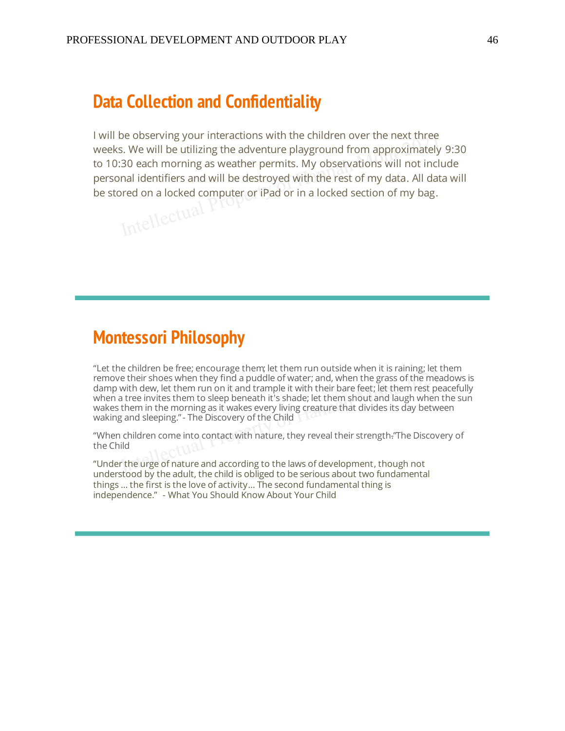## **Data Collection and Confidentiality**

I will be observing your interactions with the children over the next three weeks. We will be utilizing the adventure playground from approximately 9:30 to 10:30 each morning as weather permits. My observations will not include personal identifiers and will be destroyed with the rest of my data. All data will be stored on a locked computer or iPad or in a locked section of my bag.

## **Montessori Philosophy**

 $\overline{a}$ remove their shoes when they find a puddle of water; and, when the grass of the meadows is damp with dew, let them run on it and trample it with their bare feet; let them rest peacefully when a tree invites them to sleep beneath it's shade; let them shout and laugh when the sun wakes them in the morning as it wakes every living creature that divides its day between waking and sleeping." - The Discovery of the Child

 $\overline{a}$ the Child

 $\overline{u}$ understood by the adult, the child is obliged to be serious about two fundamental things ... the first is the love of activity... The second fundamental thing is independence." - What You Should Know About Your Child i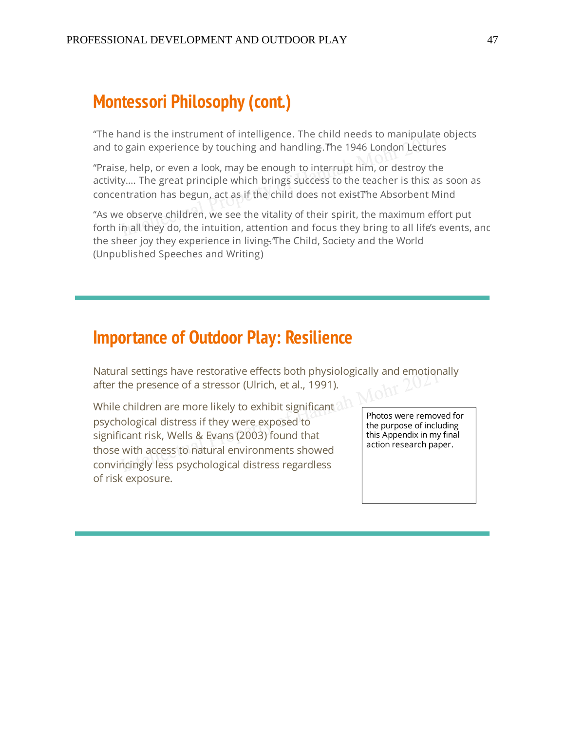# **Montessori Philosophy (cont.)**

 $\overline{a}$ and to gain experience by touching and handling. The 1946 London Lectures

 $\overline{a}$ activity.... The great principle which brings success to the teacher is this: as soon as concentration has begun, act as if the child does not existThe Absorbent Mind

 $\overline{a}$ forth in all they do, the intuition, attention and focus they bring to all life's events, and the sheer joy they experience in living. The Child, Society and the World (Unpublished Speeches and Writing)

## **Importance of Outdoor Play: Resilience**

Natural settings have restorative effects both physiologically and emotionally after the presence of a stressor (Ulrich, et al., 1991).

While children are more likely to exhibit significant psychological distress if they were exposed to significant risk, Wells & Evans (2003) found that those with access to natural environments showed convincingly less psychological distress regardless of risk exposure.

Photos were removed for the purpose of including this Appendix in my final action research paper.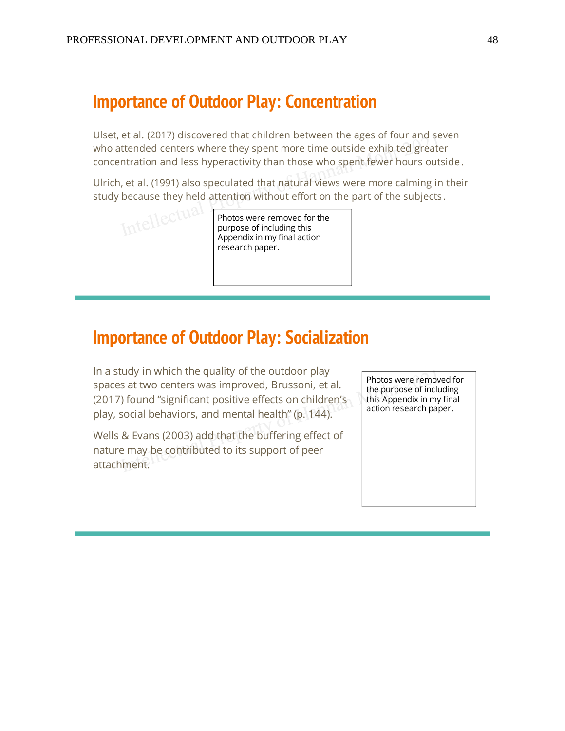## **Importance of Outdoor Play: Concentration**

Ulset, et al. (2017) discovered that children between the ages of four and seven who attended centers where they spent more time outside exhibited greater concentration and less hyperactivity than those who spent fewer hours outside.

Ulrich, et al. (1991) also speculated that natural views were more calming in their study because they held attention without effort on the part of the subjects.

Intellectual

Photos were removed for the purpose of including this Appendix in my final action research paper.

## **Importance of Outdoor Play: Socialization**

In a study in which the quality of the outdoor play spaces at two centers was improved, Brussoni, et al. (2017) found "significant positive effects on children's play, social behaviors, and mental health" (p. 144).

Wells & Evans (2003) add that the buffering effect of nature may be contributed to its support of peer attachment.

Photos were removed for the purpose of including this Appendix in my final action research paper.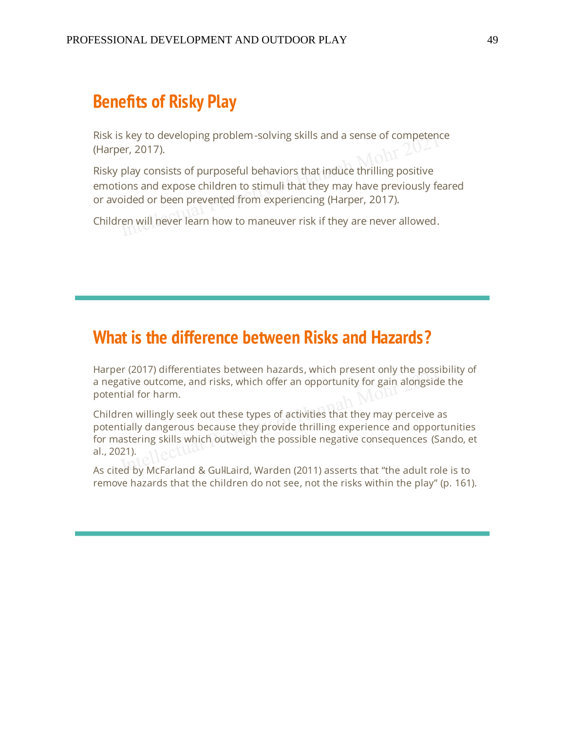## **Benefits of Risky Play**

Risk is key to developing problem-solving skills and a sense of competence (Harper, 2017).

Risky play consists of purposeful behaviors that induce thrilling positive emotions and expose children to stimuli that they may have previously feared or avoided or been prevented from experiencing (Harper, 2017).

Children will never learn how to maneuver risk if they are never allowed.

## **What is the difference between Risks and Hazards?**

Harper (2017) differentiates between hazards, which present only the possibility of a negative outcome, and risks, which offer an opportunity for gain alongside the potential for harm.

Children willingly seek out these types of activities that they may perceive as potentially dangerous because they provide thrilling experience and opportunities for mastering skills which outweigh the possible negative consequences (Sando, et al., 2021).

As cited by McFarland & GullLaird, Warden (2011) asserts that "the adult role is to remove hazards that the children do not see, not the risks within the play" (p. 161).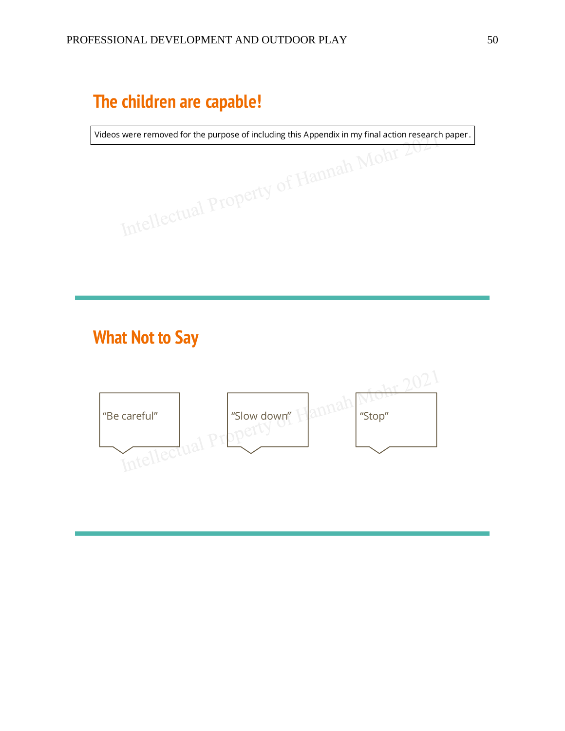# The children are capable!

Videos were removed for the purpose of including this Appendix in my final action research paper. s were removed for the purpose of including this Appendix in my final action reserved for the purpose of including this Appendix in my final action reserved to the purpose of including this Appendix in my final action rese

# **What Not to Say**

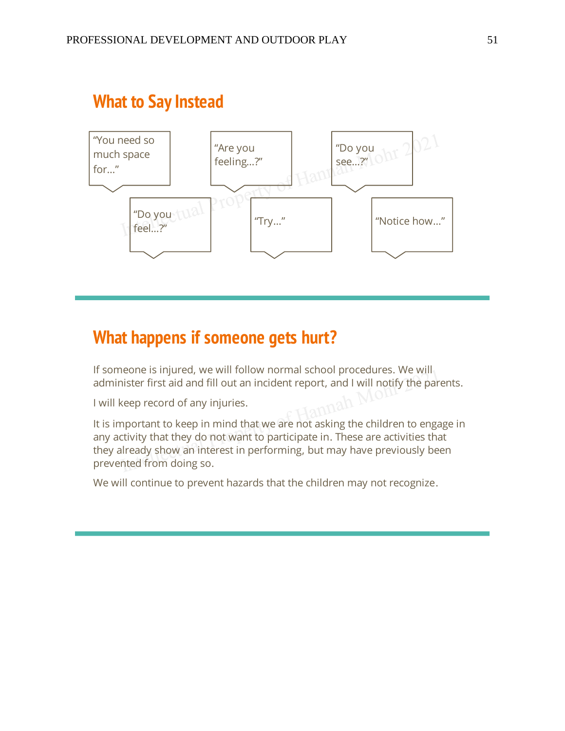

# **What to Say Instead**

## **What happens if someone gets hurt?**

If someone is injured, we will follow normal school procedures. We will administer first aid and fill out an incident report, and I will notify the parents.

I will keep record of any injuries.

It is important to keep in mind that we are not asking the children to engage in any activity that they do not want to participate in. These are activities that they already show an interest in performing, but may have previously been prevented from doing so.

We will continue to prevent hazards that the children may not recognize.